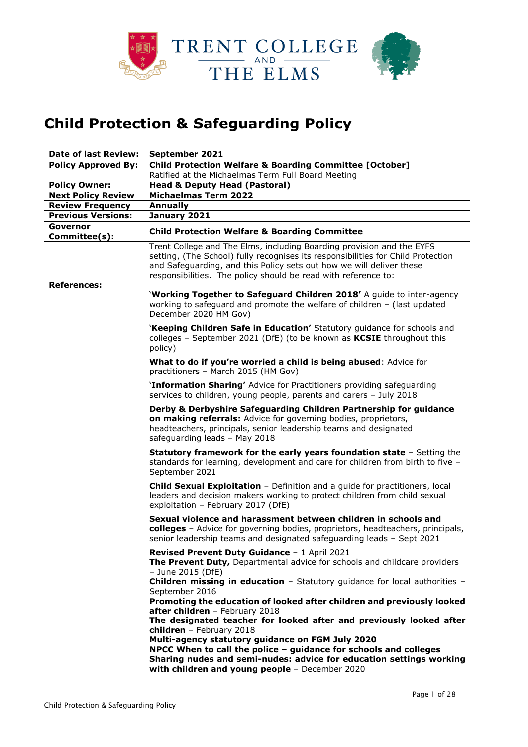

# **Child Protection & Safeguarding Policy**

| <b>Date of last Review:</b> | September 2021                                                                                                                                                                                                                                                                                      |  |  |  |
|-----------------------------|-----------------------------------------------------------------------------------------------------------------------------------------------------------------------------------------------------------------------------------------------------------------------------------------------------|--|--|--|
| <b>Policy Approved By:</b>  | <b>Child Protection Welfare &amp; Boarding Committee [October]</b><br>Ratified at the Michaelmas Term Full Board Meeting                                                                                                                                                                            |  |  |  |
| <b>Policy Owner:</b>        | <b>Head &amp; Deputy Head (Pastoral)</b>                                                                                                                                                                                                                                                            |  |  |  |
| <b>Next Policy Review</b>   | <b>Michaelmas Term 2022</b>                                                                                                                                                                                                                                                                         |  |  |  |
| <b>Review Frequency</b>     | <b>Annually</b>                                                                                                                                                                                                                                                                                     |  |  |  |
| <b>Previous Versions:</b>   | January 2021                                                                                                                                                                                                                                                                                        |  |  |  |
| Governor<br>Committee(s):   | <b>Child Protection Welfare &amp; Boarding Committee</b>                                                                                                                                                                                                                                            |  |  |  |
| References:                 | Trent College and The Elms, including Boarding provision and the EYFS<br>setting, (The School) fully recognises its responsibilities for Child Protection<br>and Safeguarding, and this Policy sets out how we will deliver these<br>responsibilities. The policy should be read with reference to: |  |  |  |
|                             | 'Working Together to Safeguard Children 2018' A guide to inter-agency<br>working to safeguard and promote the welfare of children $-$ (last updated<br>December 2020 HM Gov)                                                                                                                        |  |  |  |
|                             | 'Keeping Children Safe in Education' Statutory quidance for schools and<br>colleges - September 2021 (DfE) (to be known as KCSIE throughout this<br>policy)                                                                                                                                         |  |  |  |
|                             | What to do if you're worried a child is being abused: Advice for<br>practitioners - March 2015 (HM Gov)                                                                                                                                                                                             |  |  |  |
|                             | 'Information Sharing' Advice for Practitioners providing safeguarding<br>services to children, young people, parents and carers - July 2018                                                                                                                                                         |  |  |  |
|                             | Derby & Derbyshire Safeguarding Children Partnership for guidance<br>on making referrals: Advice for governing bodies, proprietors,<br>headteachers, principals, senior leadership teams and designated<br>safeguarding leads - May 2018                                                            |  |  |  |
|                             | <b>Statutory framework for the early years foundation state - Setting the</b><br>standards for learning, development and care for children from birth to five -<br>September 2021                                                                                                                   |  |  |  |
|                             | Child Sexual Exploitation - Definition and a guide for practitioners, local<br>leaders and decision makers working to protect children from child sexual<br>exploitation - February 2017 (DfE)                                                                                                      |  |  |  |
|                             | Sexual violence and harassment between children in schools and<br>colleges - Advice for governing bodies, proprietors, headteachers, principals,<br>senior leadership teams and designated safeguarding leads - Sept 2021                                                                           |  |  |  |
|                             | Revised Prevent Duty Guidance - 1 April 2021<br>The Prevent Duty, Departmental advice for schools and childcare providers<br>- June 2015 (DfE)<br><b>Children missing in education</b> - Statutory quidance for local authorities -                                                                 |  |  |  |
|                             | September 2016<br>Promoting the education of looked after children and previously looked                                                                                                                                                                                                            |  |  |  |
|                             | after children - February 2018<br>The designated teacher for looked after and previously looked after<br>children - February 2018                                                                                                                                                                   |  |  |  |
|                             | Multi-agency statutory guidance on FGM July 2020<br>NPCC When to call the police - guidance for schools and colleges<br>Sharing nudes and semi-nudes: advice for education settings working<br>with children and young people - December 2020                                                       |  |  |  |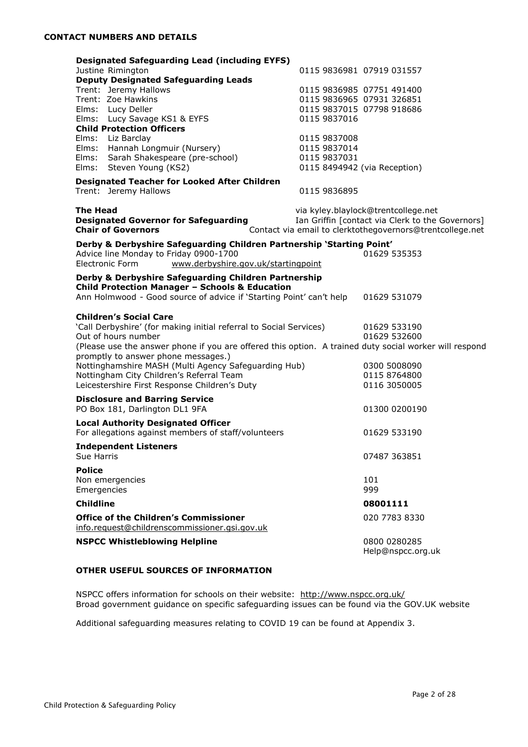| <b>Designated Safeguarding Lead (including EYFS)</b>                                                   |                                                           |
|--------------------------------------------------------------------------------------------------------|-----------------------------------------------------------|
| Justine Rimington                                                                                      | 0115 9836981 07919 031557                                 |
| <b>Deputy Designated Safeguarding Leads</b>                                                            |                                                           |
| Trent: Jeremy Hallows                                                                                  | 0115 9836985 07751 491400                                 |
| Trent: Zoe Hawkins                                                                                     | 0115 9836965 07931 326851                                 |
| Elms: Lucy Deller                                                                                      | 0115 9837015 07798 918686                                 |
| Elms: Lucy Savage KS1 & EYFS                                                                           | 0115 9837016                                              |
| <b>Child Protection Officers</b>                                                                       |                                                           |
| Elms: Liz Barclay                                                                                      | 0115 9837008                                              |
| Elms: Hannah Longmuir (Nursery)                                                                        | 0115 9837014                                              |
| Elms: Sarah Shakespeare (pre-school)<br>Steven Young (KS2)<br>Elms:                                    | 0115 9837031<br>0115 8494942 (via Reception)              |
|                                                                                                        |                                                           |
| <b>Designated Teacher for Looked After Children</b>                                                    |                                                           |
| Trent: Jeremy Hallows                                                                                  | 0115 9836895                                              |
| <b>The Head</b>                                                                                        | via kyley.blaylock@trentcollege.net                       |
| <b>Designated Governor for Safeguarding</b><br><b>Chair of Governors</b>                               | Ian Griffin [contact via Clerk to the Governors]          |
|                                                                                                        | Contact via email to clerktothegovernors@trentcollege.net |
| Derby & Derbyshire Safeguarding Children Partnership 'Starting Point'                                  |                                                           |
| Advice line Monday to Friday 0900-1700                                                                 | 01629 535353                                              |
| Electronic Form<br>www.derbyshire.gov.uk/startingpoint                                                 |                                                           |
| Derby & Derbyshire Safeguarding Children Partnership                                                   |                                                           |
| <b>Child Protection Manager - Schools &amp; Education</b>                                              |                                                           |
| Ann Holmwood - Good source of advice if 'Starting Point' can't help                                    | 01629 531079                                              |
|                                                                                                        |                                                           |
| <b>Children's Social Care</b>                                                                          |                                                           |
| 'Call Derbyshire' (for making initial referral to Social Services)<br>Out of hours number              | 01629 533190<br>01629 532600                              |
| (Please use the answer phone if you are offered this option. A trained duty social worker will respond |                                                           |
| promptly to answer phone messages.)                                                                    |                                                           |
| Nottinghamshire MASH (Multi Agency Safeguarding Hub)                                                   | 0300 5008090                                              |
| Nottingham City Children's Referral Team                                                               | 0115 8764800                                              |
| Leicestershire First Response Children's Duty                                                          | 0116 3050005                                              |
| <b>Disclosure and Barring Service</b>                                                                  |                                                           |
| PO Box 181, Darlington DL1 9FA                                                                         | 01300 0200190                                             |
| <b>Local Authority Designated Officer</b>                                                              |                                                           |
| For allegations against members of staff/volunteers                                                    | 01629 533190                                              |
|                                                                                                        |                                                           |
| <b>Independent Listeners</b>                                                                           |                                                           |
| Sue Harris                                                                                             | 07487 363851                                              |
| <b>Police</b>                                                                                          |                                                           |
| Non emergencies                                                                                        | 101                                                       |
| Emergencies                                                                                            | 999                                                       |
| <b>Childline</b>                                                                                       | 08001111                                                  |
| <b>Office of the Children's Commissioner</b><br>info.request@childrenscommissioner.gsi.gov.uk          | 020 7783 8330                                             |
| <b>NSPCC Whistleblowing Helpline</b>                                                                   | 0800 0280285                                              |
|                                                                                                        | Help@nspcc.org.uk                                         |
|                                                                                                        |                                                           |

#### **OTHER USEFUL SOURCES OF INFORMATION**

NSPCC offers information for schools on their website: <http://www.nspcc.org.uk/> Broad government guidance on specific safeguarding issues can be found via the GOV.UK website

Additional safeguarding measures relating to COVID 19 can be found at Appendix 3.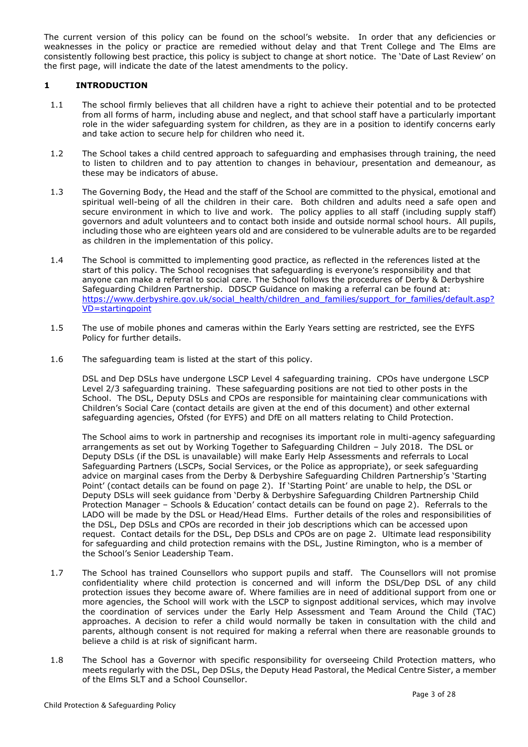The current version of this policy can be found on the school's website. In order that any deficiencies or weaknesses in the policy or practice are remedied without delay and that Trent College and The Elms are consistently following best practice, this policy is subject to change at short notice. The 'Date of Last Review' on the first page, will indicate the date of the latest amendments to the policy.

#### **1 INTRODUCTION**

- 1.1 The school firmly believes that all children have a right to achieve their potential and to be protected from all forms of harm, including abuse and neglect, and that school staff have a particularly important role in the wider safeguarding system for children, as they are in a position to identify concerns early and take action to secure help for children who need it.
- 1.2 The School takes a child centred approach to safeguarding and emphasises through training, the need to listen to children and to pay attention to changes in behaviour, presentation and demeanour, as these may be indicators of abuse.
- 1.3 The Governing Body, the Head and the staff of the School are committed to the physical, emotional and spiritual well-being of all the children in their care. Both children and adults need a safe open and secure environment in which to live and work. The policy applies to all staff (including supply staff) governors and adult volunteers and to contact both inside and outside normal school hours. All pupils, including those who are eighteen years old and are considered to be vulnerable adults are to be regarded as children in the implementation of this policy.
- 1.4 The School is committed to implementing good practice, as reflected in the references listed at the start of this policy. The School recognises that safeguarding is everyone's responsibility and that anyone can make a referral to social care. The School follows the procedures of Derby & Derbyshire Safeguarding Children Partnership. DDSCP Guidance on making a referral can be found at: [https://www.derbyshire.gov.uk/social\\_health/children\\_and\\_families/support\\_for\\_families/default.asp?](https://www.derbyshire.gov.uk/social_health/children_and_families/support_for_families/default.asp?VD=startingpoint) [VD=startingpoint](https://www.derbyshire.gov.uk/social_health/children_and_families/support_for_families/default.asp?VD=startingpoint)
- 1.5 The use of mobile phones and cameras within the Early Years setting are restricted, see the EYFS Policy for further details.
- 1.6 The safeguarding team is listed at the start of this policy.

DSL and Dep DSLs have undergone LSCP Level 4 safeguarding training. CPOs have undergone LSCP Level 2/3 safeguarding training. These safeguarding positions are not tied to other posts in the School. The DSL, Deputy DSLs and CPOs are responsible for maintaining clear communications with Children's Social Care (contact details are given at the end of this document) and other external safeguarding agencies, Ofsted (for EYFS) and DfE on all matters relating to Child Protection.

The School aims to work in partnership and recognises its important role in multi-agency safeguarding arrangements as set out by Working Together to Safeguarding Children – July 2018. The DSL or Deputy DSLs (if the DSL is unavailable) will make Early Help Assessments and referrals to Local Safeguarding Partners (LSCPs, Social Services, or the Police as appropriate), or seek safeguarding advice on marginal cases from the Derby & Derbyshire Safeguarding Children Partnership's 'Starting Point' (contact details can be found on page 2). If 'Starting Point' are unable to help, the DSL or Deputy DSLs will seek guidance from 'Derby & Derbyshire Safeguarding Children Partnership Child Protection Manager – Schools & Education' contact details can be found on page 2). Referrals to the LADO will be made by the DSL or Head/Head Elms. Further details of the roles and responsibilities of the DSL, Dep DSLs and CPOs are recorded in their job descriptions which can be accessed upon request. Contact details for the DSL, Dep DSLs and CPOs are on page 2. Ultimate lead responsibility for safeguarding and child protection remains with the DSL, Justine Rimington, who is a member of the School's Senior Leadership Team.

- 1.7 The School has trained Counsellors who support pupils and staff. The Counsellors will not promise confidentiality where child protection is concerned and will inform the DSL/Dep DSL of any child protection issues they become aware of. Where families are in need of additional support from one or more agencies, the School will work with the LSCP to signpost additional services, which may involve the coordination of services under the Early Help Assessment and Team Around the Child (TAC) approaches. A decision to refer a child would normally be taken in consultation with the child and parents, although consent is not required for making a referral when there are reasonable grounds to believe a child is at risk of significant harm.
- 1.8 The School has a Governor with specific responsibility for overseeing Child Protection matters, who meets regularly with the DSL, Dep DSLs, the Deputy Head Pastoral, the Medical Centre Sister, a member of the Elms SLT and a School Counsellor.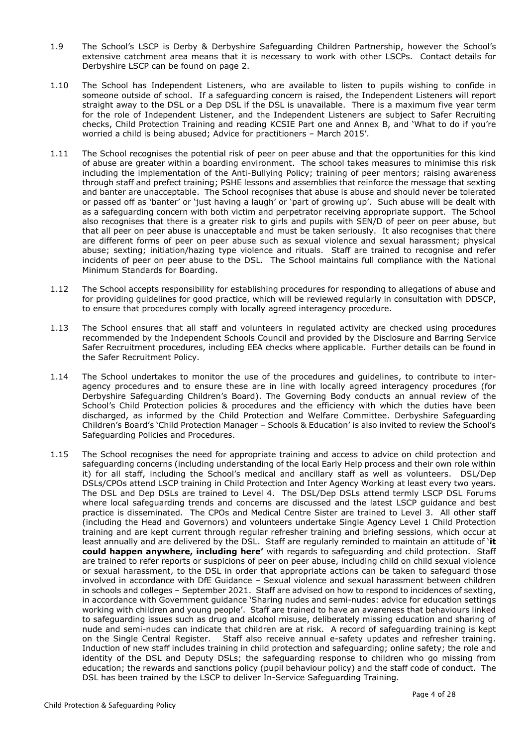- 1.9 The School's LSCP is Derby & Derbyshire Safeguarding Children Partnership, however the School's extensive catchment area means that it is necessary to work with other LSCPs. Contact details for Derbyshire LSCP can be found on page 2.
- 1.10 The School has Independent Listeners, who are available to listen to pupils wishing to confide in someone outside of school. If a safeguarding concern is raised, the Independent Listeners will report straight away to the DSL or a Dep DSL if the DSL is unavailable. There is a maximum five year term for the role of Independent Listener, and the Independent Listeners are subject to Safer Recruiting checks, Child Protection Training and reading KCSIE Part one and Annex B, and 'What to do if you're worried a child is being abused; Advice for practitioners – March 2015'.
- 1.11 The School recognises the potential risk of peer on peer abuse and that the opportunities for this kind of abuse are greater within a boarding environment. The school takes measures to minimise this risk including the implementation of the Anti-Bullying Policy; training of peer mentors; raising awareness through staff and prefect training; PSHE lessons and assemblies that reinforce the message that sexting and banter are unacceptable. The School recognises that abuse is abuse and should never be tolerated or passed off as 'banter' or 'just having a laugh' or 'part of growing up'. Such abuse will be dealt with as a safeguarding concern with both victim and perpetrator receiving appropriate support. The School also recognises that there is a greater risk to girls and pupils with SEN/D of peer on peer abuse, but that all peer on peer abuse is unacceptable and must be taken seriously. It also recognises that there are different forms of peer on peer abuse such as sexual violence and sexual harassment; physical abuse; sexting; initiation/hazing type violence and rituals. Staff are trained to recognise and refer incidents of peer on peer abuse to the DSL. The School maintains full compliance with the National Minimum Standards for Boarding.
- 1.12 The School accepts responsibility for establishing procedures for responding to allegations of abuse and for providing guidelines for good practice, which will be reviewed regularly in consultation with DDSCP, to ensure that procedures comply with locally agreed interagency procedure.
- 1.13 The School ensures that all staff and volunteers in regulated activity are checked using procedures recommended by the Independent Schools Council and provided by the Disclosure and Barring Service Safer Recruitment procedures, including EEA checks where applicable. Further details can be found in the Safer Recruitment Policy.
- 1.14 The School undertakes to monitor the use of the procedures and guidelines, to contribute to interagency procedures and to ensure these are in line with locally agreed interagency procedures (for Derbyshire Safeguarding Children's Board). The Governing Body conducts an annual review of the School's Child Protection policies & procedures and the efficiency with which the duties have been discharged, as informed by the Child Protection and Welfare Committee. Derbyshire Safeguarding Children's Board's 'Child Protection Manager – Schools & Education' is also invited to review the School's Safeguarding Policies and Procedures.
- 1.15 The School recognises the need for appropriate training and access to advice on child protection and safeguarding concerns (including understanding of the local Early Help process and their own role within it) for all staff, including the School's medical and ancillary staff as well as volunteers. DSL/Dep DSLs/CPOs attend LSCP training in Child Protection and Inter Agency Working at least every two years. The DSL and Dep DSLs are trained to Level 4. The DSL/Dep DSLs attend termly LSCP DSL Forums where local safeguarding trends and concerns are discussed and the latest LSCP guidance and best practice is disseminated. The CPOs and Medical Centre Sister are trained to Level 3. All other staff (including the Head and Governors) and volunteers undertake Single Agency Level 1 Child Protection training and are kept current through regular refresher training and briefing sessions, which occur at least annually and are delivered by the DSL. Staff are regularly reminded to maintain an attitude of '**it could happen anywhere, including here'** with regards to safeguarding and child protection. Staff are trained to refer reports or suspicions of peer on peer abuse, including child on child sexual violence or sexual harassment, to the DSL in order that appropriate actions can be taken to safeguard those involved in accordance with DfE Guidance – Sexual violence and sexual harassment between children in schools and colleges – September 2021. Staff are advised on how to respond to incidences of sexting, in accordance with Government guidance 'Sharing nudes and semi-nudes: advice for education settings working with children and young people'. Staff are trained to have an awareness that behaviours linked to safeguarding issues such as drug and alcohol misuse, deliberately missing education and sharing of nude and semi-nudes can indicate that children are at risk. A record of safeguarding training is kept on the Single Central Register. Staff also receive annual e-safety updates and refresher training. Induction of new staff includes training in child protection and safeguarding; online safety; the role and identity of the DSL and Deputy DSLs; the safeguarding response to children who go missing from education; the rewards and sanctions policy (pupil behaviour policy) and the staff code of conduct. The DSL has been trained by the LSCP to deliver In-Service Safeguarding Training.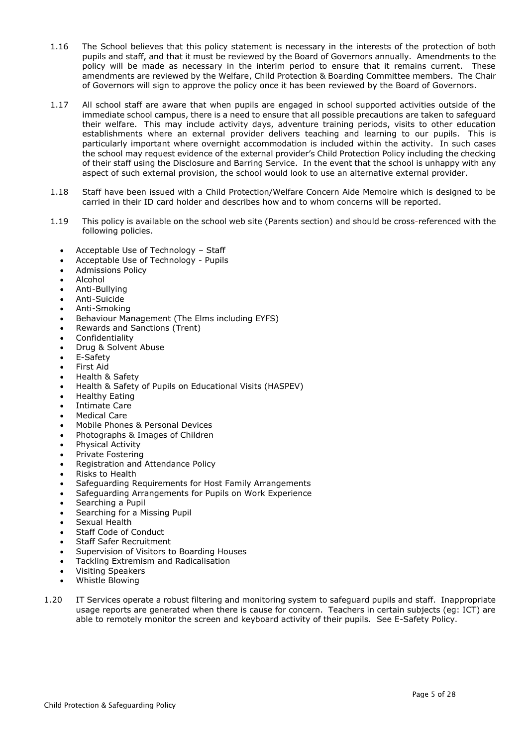- 1.16 The School believes that this policy statement is necessary in the interests of the protection of both pupils and staff, and that it must be reviewed by the Board of Governors annually. Amendments to the policy will be made as necessary in the interim period to ensure that it remains current. These amendments are reviewed by the Welfare, Child Protection & Boarding Committee members. The Chair of Governors will sign to approve the policy once it has been reviewed by the Board of Governors.
- 1.17 All school staff are aware that when pupils are engaged in school supported activities outside of the immediate school campus, there is a need to ensure that all possible precautions are taken to safeguard their welfare. This may include activity days, adventure training periods, visits to other education establishments where an external provider delivers teaching and learning to our pupils. This is particularly important where overnight accommodation is included within the activity. In such cases the school may request evidence of the external provider's Child Protection Policy including the checking of their staff using the Disclosure and Barring Service. In the event that the school is unhappy with any aspect of such external provision, the school would look to use an alternative external provider.
- 1.18 Staff have been issued with a Child Protection/Welfare Concern Aide Memoire which is designed to be carried in their ID card holder and describes how and to whom concerns will be reported.
- 1.19 This policy is available on the school web site (Parents section) and should be cross-referenced with the following policies.
	- Acceptable Use of Technology Staff
	- Acceptable Use of Technology Pupils
	- Admissions Policy
	- Alcohol
	- Anti-Bullying
	- Anti-Suicide
	- Anti-Smoking
	- Behaviour Management (The Elms including EYFS)
	- Rewards and Sanctions (Trent)
	- **Confidentiality**
	- Drug & Solvent Abuse
	- E-Safety
	- First Aid
	- Health & Safety
	- Health & Safety of Pupils on Educational Visits (HASPEV)
	- Healthy Eating
	- **Intimate Care**
	- **Medical Care**
	- Mobile Phones & Personal Devices
	- Photographs & Images of Children
	- Physical Activity
	- Private Fostering
	- Registration and Attendance Policy
	- Risks to Health
	- Safeguarding Requirements for Host Family Arrangements
	- Safeguarding Arrangements for Pupils on Work Experience
	- Searching a Pupil
	- Searching for a Missing Pupil
	- Sexual Health
	- Staff Code of Conduct
	- Staff Safer Recruitment
	- Supervision of Visitors to Boarding Houses
	- Tackling Extremism and Radicalisation
	- Visiting Speakers
	- Whistle Blowing
- 1.20 IT Services operate a robust filtering and monitoring system to safeguard pupils and staff. Inappropriate usage reports are generated when there is cause for concern. Teachers in certain subjects (eg: ICT) are able to remotely monitor the screen and keyboard activity of their pupils. See E-Safety Policy.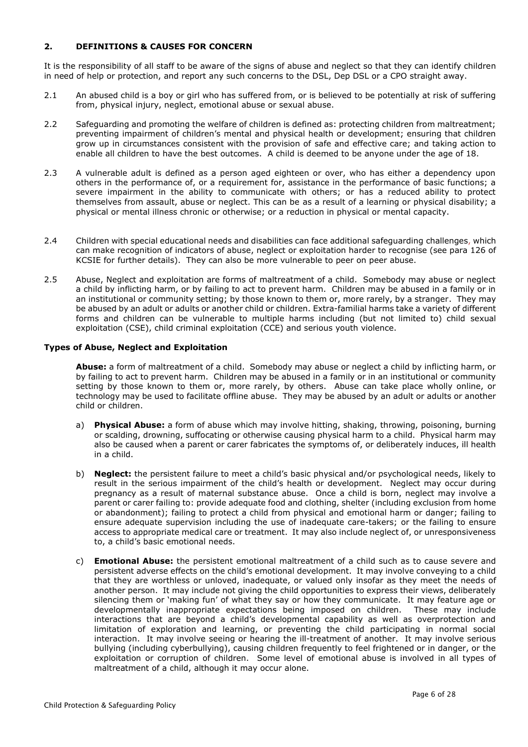#### **2. DEFINITIONS & CAUSES FOR CONCERN**

It is the responsibility of all staff to be aware of the signs of abuse and neglect so that they can identify children in need of help or protection, and report any such concerns to the DSL, Dep DSL or a CPO straight away.

- 2.1 An abused child is a boy or girl who has suffered from, or is believed to be potentially at risk of suffering from, physical injury, neglect, emotional abuse or sexual abuse.
- 2.2 Safeguarding and promoting the welfare of children is defined as: protecting children from maltreatment; preventing impairment of children's mental and physical health or development; ensuring that children grow up in circumstances consistent with the provision of safe and effective care; and taking action to enable all children to have the best outcomes. A child is deemed to be anyone under the age of 18.
- 2.3 A vulnerable adult is defined as a person aged eighteen or over, who has either a dependency upon others in the performance of, or a requirement for, assistance in the performance of basic functions; a severe impairment in the ability to communicate with others; or has a reduced ability to protect themselves from assault, abuse or neglect. This can be as a result of a learning or physical disability; a physical or mental illness chronic or otherwise; or a reduction in physical or mental capacity.
- 2.4 Children with special educational needs and disabilities can face additional safeguarding challenges, which can make recognition of indicators of abuse, neglect or exploitation harder to recognise (see para 126 of KCSIE for further details). They can also be more vulnerable to peer on peer abuse.
- 2.5 Abuse, Neglect and exploitation are forms of maltreatment of a child. Somebody may abuse or neglect a child by inflicting harm, or by failing to act to prevent harm. Children may be abused in a family or in an institutional or community setting; by those known to them or, more rarely, by a stranger. They may be abused by an adult or adults or another child or children. Extra-familial harms take a variety of different forms and children can be vulnerable to multiple harms including (but not limited to) child sexual exploitation (CSE), child criminal exploitation (CCE) and serious youth violence.

#### **Types of Abuse, Neglect and Exploitation**

**Abuse:** a form of maltreatment of a child. Somebody may abuse or neglect a child by inflicting harm, or by failing to act to prevent harm. Children may be abused in a family or in an institutional or community setting by those known to them or, more rarely, by others. Abuse can take place wholly online, or technology may be used to facilitate offline abuse. They may be abused by an adult or adults or another child or children.

- a) **Physical Abuse:** a form of abuse which may involve hitting, shaking, throwing, poisoning, burning or scalding, drowning, suffocating or otherwise causing physical harm to a child. Physical harm may also be caused when a parent or carer fabricates the symptoms of, or deliberately induces, ill health in a child.
- b) **Neglect:** the persistent failure to meet a child's basic physical and/or psychological needs, likely to result in the serious impairment of the child's health or development. Neglect may occur during pregnancy as a result of maternal substance abuse. Once a child is born, neglect may involve a parent or carer failing to: provide adequate food and clothing, shelter (including exclusion from home or abandonment); failing to protect a child from physical and emotional harm or danger; failing to ensure adequate supervision including the use of inadequate care-takers; or the failing to ensure access to appropriate medical care or treatment. It may also include neglect of, or unresponsiveness to, a child's basic emotional needs.
- c) **Emotional Abuse:** the persistent emotional maltreatment of a child such as to cause severe and persistent adverse effects on the child's emotional development. It may involve conveying to a child that they are worthless or unloved, inadequate, or valued only insofar as they meet the needs of another person. It may include not giving the child opportunities to express their views, deliberately silencing them or 'making fun' of what they say or how they communicate. It may feature age or developmentally inappropriate expectations being imposed on children. These may include interactions that are beyond a child's developmental capability as well as overprotection and limitation of exploration and learning, or preventing the child participating in normal social interaction. It may involve seeing or hearing the ill-treatment of another. It may involve serious bullying (including cyberbullying), causing children frequently to feel frightened or in danger, or the exploitation or corruption of children. Some level of emotional abuse is involved in all types of maltreatment of a child, although it may occur alone.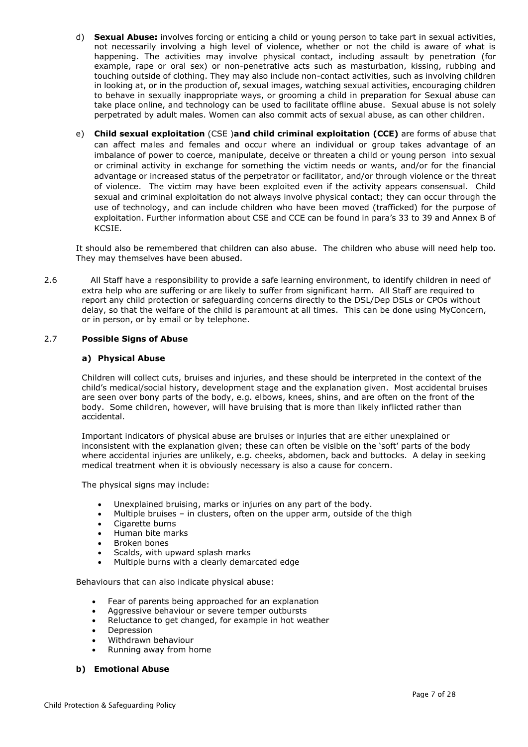- d) **Sexual Abuse:** involves forcing or enticing a child or young person to take part in sexual activities, not necessarily involving a high level of violence, whether or not the child is aware of what is happening. The activities may involve physical contact, including assault by penetration (for example, rape or oral sex) or non-penetrative acts such as masturbation, kissing, rubbing and touching outside of clothing. They may also include non-contact activities, such as involving children in looking at, or in the production of, sexual images, watching sexual activities, encouraging children to behave in sexually inappropriate ways, or grooming a child in preparation for Sexual abuse can take place online, and technology can be used to facilitate offline abuse. Sexual abuse is not solely perpetrated by adult males. Women can also commit acts of sexual abuse, as can other children.
- e) **Child sexual exploitation** (CSE )**and child criminal exploitation (CCE)** are forms of abuse that can affect males and females and occur where an individual or group takes advantage of an imbalance of power to coerce, manipulate, deceive or threaten a child or young person into sexual or criminal activity in exchange for something the victim needs or wants, and/or for the financial advantage or increased status of the perpetrator or facilitator, and/or through violence or the threat of violence. The victim may have been exploited even if the activity appears consensual. Child sexual and criminal exploitation do not always involve physical contact; they can occur through the use of technology, and can include children who have been moved (trafficked) for the purpose of exploitation. Further information about CSE and CCE can be found in para's 33 to 39 and Annex B of KCSIE.

It should also be remembered that children can also abuse. The children who abuse will need help too. They may themselves have been abused.

2.6 All Staff have a responsibility to provide a safe learning environment, to identify children in need of extra help who are suffering or are likely to suffer from significant harm. All Staff are required to report any child protection or safeguarding concerns directly to the DSL/Dep DSLs or CPOs without delay, so that the welfare of the child is paramount at all times. This can be done using MyConcern, or in person, or by email or by telephone.

#### 2.7 **Possible Signs of Abuse**

#### **a) Physical Abuse**

Children will collect cuts, bruises and injuries, and these should be interpreted in the context of the child's medical/social history, development stage and the explanation given. Most accidental bruises are seen over bony parts of the body, e.g. elbows, knees, shins, and are often on the front of the body. Some children, however, will have bruising that is more than likely inflicted rather than accidental.

Important indicators of physical abuse are bruises or injuries that are either unexplained or inconsistent with the explanation given; these can often be visible on the 'soft' parts of the body where accidental injuries are unlikely, e.g. cheeks, abdomen, back and buttocks. A delay in seeking medical treatment when it is obviously necessary is also a cause for concern.

The physical signs may include:

- Unexplained bruising, marks or injuries on any part of the body.
- Multiple bruises in clusters, often on the upper arm, outside of the thigh
- Cigarette burns
- Human bite marks
- Broken bones
- Scalds, with upward splash marks
- Multiple burns with a clearly demarcated edge

Behaviours that can also indicate physical abuse:

- Fear of parents being approached for an explanation
- Aggressive behaviour or severe temper outbursts
- Reluctance to get changed, for example in hot weather
- **Depression**
- Withdrawn behaviour
- Running away from home
- **b) Emotional Abuse**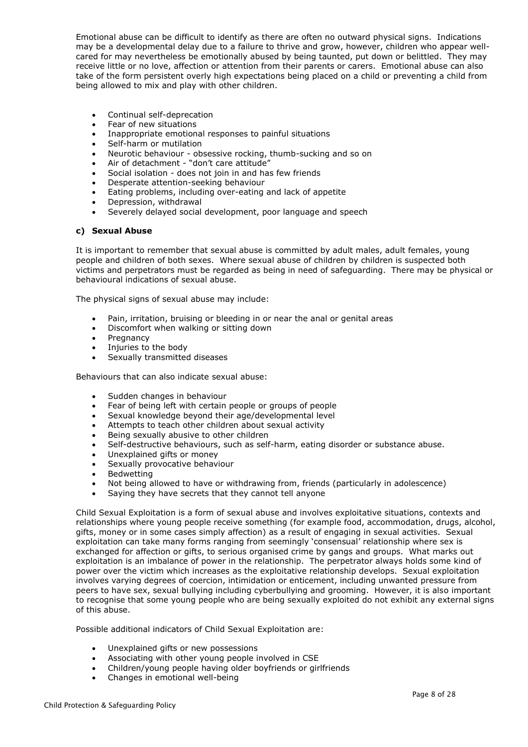Emotional abuse can be difficult to identify as there are often no outward physical signs. Indications may be a developmental delay due to a failure to thrive and grow, however, children who appear wellcared for may nevertheless be emotionally abused by being taunted, put down or belittled. They may receive little or no love, affection or attention from their parents or carers. Emotional abuse can also take of the form persistent overly high expectations being placed on a child or preventing a child from being allowed to mix and play with other children.

- Continual self-deprecation
- Fear of new situations
- Inappropriate emotional responses to painful situations
- Self-harm or mutilation
- Neurotic behaviour obsessive rocking, thumb-sucking and so on
- Air of detachment "don't care attitude"
- Social isolation does not join in and has few friends
- Desperate attention-seeking behaviour
- Eating problems, including over-eating and lack of appetite
- Depression, withdrawal
- Severely delayed social development, poor language and speech

#### **c) Sexual Abuse**

It is important to remember that sexual abuse is committed by adult males, adult females, young people and children of both sexes. Where sexual abuse of children by children is suspected both victims and perpetrators must be regarded as being in need of safeguarding. There may be physical or behavioural indications of sexual abuse.

The physical signs of sexual abuse may include:

- Pain, irritation, bruising or bleeding in or near the anal or genital areas
- Discomfort when walking or sitting down
- Pregnancy
- Injuries to the body
- Sexually transmitted diseases

Behaviours that can also indicate sexual abuse:

- Sudden changes in behaviour
- Fear of being left with certain people or groups of people
- Sexual knowledge beyond their age/developmental level
- Attempts to teach other children about sexual activity
- Being sexually abusive to other children
- Self-destructive behaviours, such as self-harm, eating disorder or substance abuse.
- Unexplained gifts or money
- Sexually provocative behaviour
- Bedwetting
- Not being allowed to have or withdrawing from, friends (particularly in adolescence)
- Saying they have secrets that they cannot tell anyone

Child Sexual Exploitation is a form of sexual abuse and involves exploitative situations, contexts and relationships where young people receive something (for example food, accommodation, drugs, alcohol, gifts, money or in some cases simply affection) as a result of engaging in sexual activities. Sexual exploitation can take many forms ranging from seemingly 'consensual' relationship where sex is exchanged for affection or gifts, to serious organised crime by gangs and groups. What marks out exploitation is an imbalance of power in the relationship. The perpetrator always holds some kind of power over the victim which increases as the exploitative relationship develops. Sexual exploitation involves varying degrees of coercion, intimidation or enticement, including unwanted pressure from peers to have sex, sexual bullying including cyberbullying and grooming. However, it is also important to recognise that some young people who are being sexually exploited do not exhibit any external signs of this abuse.

Possible additional indicators of Child Sexual Exploitation are:

- Unexplained gifts or new possessions
- Associating with other young people involved in CSE
- Children/young people having older boyfriends or girlfriends
- Changes in emotional well-being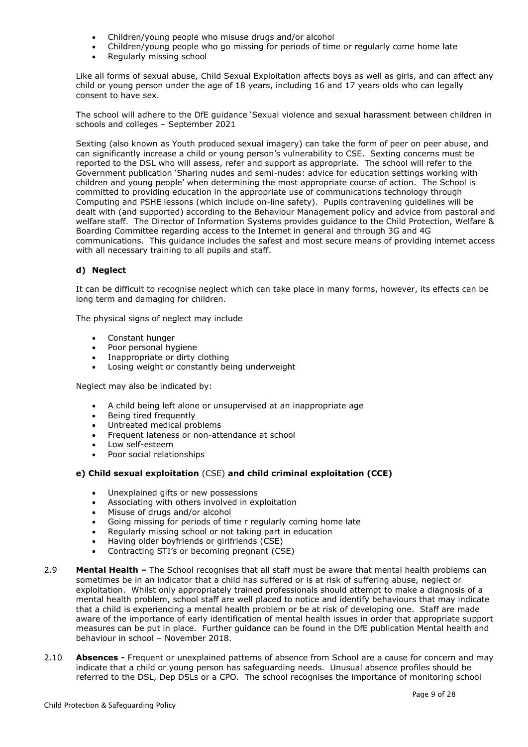- Children/young people who misuse drugs and/or alcohol
- Children/young people who go missing for periods of time or regularly come home late
- Regularly missing school

Like all forms of sexual abuse, Child Sexual Exploitation affects boys as well as girls, and can affect any child or young person under the age of 18 years, including 16 and 17 years olds who can legally consent to have sex.

The school will adhere to the DfE guidance 'Sexual violence and sexual harassment between children in schools and colleges – September 2021

Sexting (also known as Youth produced sexual imagery) can take the form of peer on peer abuse, and can significantly increase a child or young person's vulnerability to CSE. Sexting concerns must be reported to the DSL who will assess, refer and support as appropriate. The school will refer to the Government publication 'Sharing nudes and semi-nudes: advice for education settings working with children and young people' when determining the most appropriate course of action. The School is committed to providing education in the appropriate use of communications technology through Computing and PSHE lessons (which include on-line safety). Pupils contravening guidelines will be dealt with (and supported) according to the Behaviour Management policy and advice from pastoral and welfare staff. The Director of Information Systems provides guidance to the Child Protection, Welfare & Boarding Committee regarding access to the Internet in general and through 3G and 4G communications. This guidance includes the safest and most secure means of providing internet access with all necessary training to all pupils and staff.

#### **d) Neglect**

It can be difficult to recognise neglect which can take place in many forms, however, its effects can be long term and damaging for children.

The physical signs of neglect may include

- Constant hunger
- Poor personal hygiene
- Inappropriate or dirty clothing
- Losing weight or constantly being underweight

Neglect may also be indicated by:

- A child being left alone or unsupervised at an inappropriate age
- Being tired frequently
- Untreated medical problems
- Frequent lateness or non-attendance at school
- Low self-esteem
- Poor social relationships

#### **e) Child sexual exploitation** (CSE) **and child criminal exploitation (CCE)**

- Unexplained gifts or new possessions
- Associating with others involved in exploitation
- Misuse of drugs and/or alcohol
- Going missing for periods of time r regularly coming home late
- Regularly missing school or not taking part in education
- Having older boyfriends or girlfriends (CSE)
- Contracting STI's or becoming pregnant (CSE)
- 2.9 **Mental Health –** The School recognises that all staff must be aware that mental health problems can sometimes be in an indicator that a child has suffered or is at risk of suffering abuse, neglect or exploitation. Whilst only appropriately trained professionals should attempt to make a diagnosis of a mental health problem, school staff are well placed to notice and identify behaviours that may indicate that a child is experiencing a mental health problem or be at risk of developing one. Staff are made aware of the importance of early identification of mental health issues in order that appropriate support measures can be put in place. Further guidance can be found in the DfE publication Mental health and behaviour in school – November 2018.
- 2.10 **Absences -** Frequent or unexplained patterns of absence from School are a cause for concern and may indicate that a child or young person has safeguarding needs. Unusual absence profiles should be referred to the DSL, Dep DSLs or a CPO. The school recognises the importance of monitoring school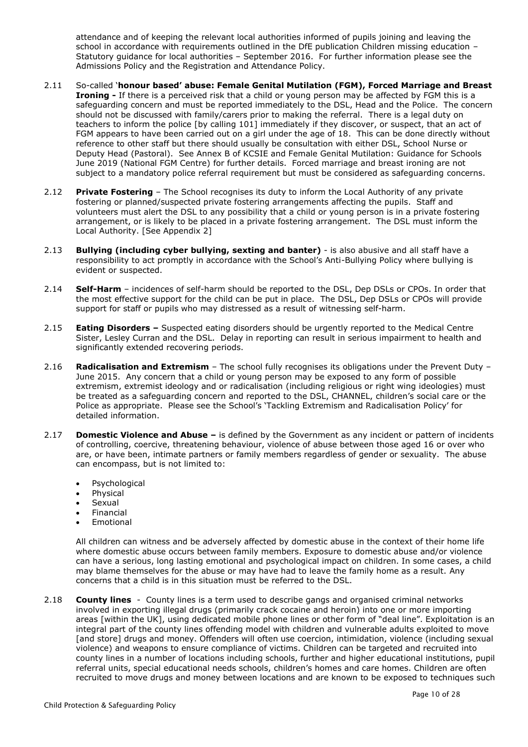attendance and of keeping the relevant local authorities informed of pupils joining and leaving the school in accordance with requirements outlined in the DfE publication Children missing education -Statutory guidance for local authorities – September 2016. For further information please see the Admissions Policy and the Registration and Attendance Policy.

- 2.11 So-called '**honour based' abuse: Female Genital Mutilation (FGM), Forced Marriage and Breast Ironing -** If there is a perceived risk that a child or young person may be affected by FGM this is a safeguarding concern and must be reported immediately to the DSL, Head and the Police. The concern should not be discussed with family/carers prior to making the referral. There is a legal duty on teachers to inform the police [by calling 101] immediately if they discover, or suspect, that an act of FGM appears to have been carried out on a girl under the age of 18. This can be done directly without reference to other staff but there should usually be consultation with either DSL, School Nurse or Deputy Head (Pastoral). See Annex B of KCSIE and Female Genital Mutilation: Guidance for Schools June 2019 (National FGM Centre) for further details. Forced marriage and breast ironing are not subject to a mandatory police referral requirement but must be considered as safeguarding concerns.
- 2.12 **Private Fostering** The School recognises its duty to inform the Local Authority of any private fostering or planned/suspected private fostering arrangements affecting the pupils. Staff and volunteers must alert the DSL to any possibility that a child or young person is in a private fostering arrangement, or is likely to be placed in a private fostering arrangement. The DSL must inform the Local Authority. [See Appendix 2]
- 2.13 **Bullying (including cyber bullying, sexting and banter)** is also abusive and all staff have a responsibility to act promptly in accordance with the School's Anti-Bullying Policy where bullying is evident or suspected.
- 2.14 **Self-Harm** incidences of self-harm should be reported to the DSL, Dep DSLs or CPOs. In order that the most effective support for the child can be put in place. The DSL, Dep DSLs or CPOs will provide support for staff or pupils who may distressed as a result of witnessing self-harm.
- 2.15 **Eating Disorders –** Suspected eating disorders should be urgently reported to the Medical Centre Sister, Lesley Curran and the DSL. Delay in reporting can result in serious impairment to health and significantly extended recovering periods.
- 2.16 **Radicalisation and Extremism** The school fully recognises its obligations under the Prevent Duty June 2015. Any concern that a child or young person may be exposed to any form of possible extremism, extremist ideology and or radicalisation (including religious or right wing ideologies) must be treated as a safeguarding concern and reported to the DSL, CHANNEL, children's social care or the Police as appropriate. Please see the School's 'Tackling Extremism and Radicalisation Policy' for detailed information.
- 2.17 **Domestic Violence and Abuse –** is defined by the Government as any incident or pattern of incidents of controlling, coercive, threatening behaviour, violence of abuse between those aged 16 or over who are, or have been, intimate partners or family members regardless of gender or sexuality. The abuse can encompass, but is not limited to:
	- **Psychological**
	- **Physical**
	- Sexual
	- **Financial**
	- **Emotional**

All children can witness and be adversely affected by domestic abuse in the context of their home life where domestic abuse occurs between family members. Exposure to domestic abuse and/or violence can have a serious, long lasting emotional and psychological impact on children. In some cases, a child may blame themselves for the abuse or may have had to leave the family home as a result. Any concerns that a child is in this situation must be referred to the DSL.

2.18 **County lines** - County lines is a term used to describe gangs and organised criminal networks involved in exporting illegal drugs (primarily crack cocaine and heroin) into one or more importing areas [within the UK], using dedicated mobile phone lines or other form of "deal line". Exploitation is an integral part of the county lines offending model with children and vulnerable adults exploited to move [and store] drugs and money. Offenders will often use coercion, intimidation, violence (including sexual violence) and weapons to ensure compliance of victims. Children can be targeted and recruited into county lines in a number of locations including schools, further and higher educational institutions, pupil referral units, special educational needs schools, children's homes and care homes. Children are often recruited to move drugs and money between locations and are known to be exposed to techniques such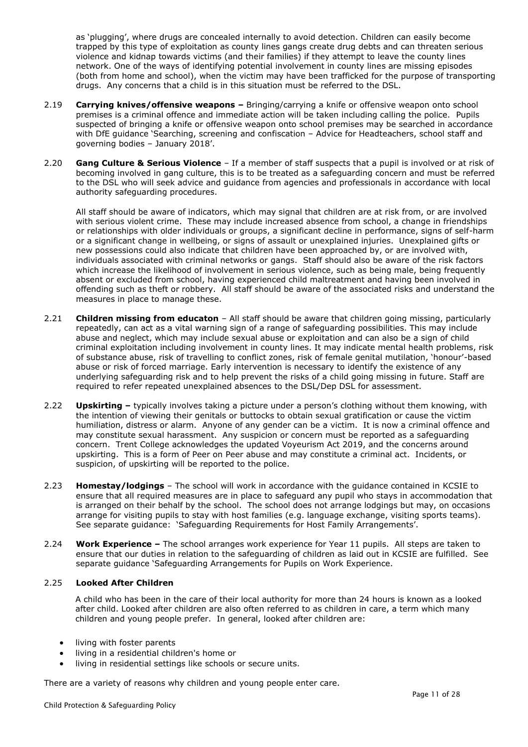as 'plugging', where drugs are concealed internally to avoid detection. Children can easily become trapped by this type of exploitation as county lines gangs create drug debts and can threaten serious violence and kidnap towards victims (and their families) if they attempt to leave the county lines network. One of the ways of identifying potential involvement in county lines are missing episodes (both from home and school), when the victim may have been trafficked for the purpose of transporting drugs. Any concerns that a child is in this situation must be referred to the DSL.

- 2.19 **Carrying knives/offensive weapons –** Bringing/carrying a knife or offensive weapon onto school premises is a criminal offence and immediate action will be taken including calling the police. Pupils suspected of bringing a knife or offensive weapon onto school premises may be searched in accordance with DfE guidance 'Searching, screening and confiscation – Advice for Headteachers, school staff and governing bodies – January 2018'.
- 2.20 **Gang Culture & Serious Violence**  If a member of staff suspects that a pupil is involved or at risk of becoming involved in gang culture, this is to be treated as a safeguarding concern and must be referred to the DSL who will seek advice and guidance from agencies and professionals in accordance with local authority safeguarding procedures.

All staff should be aware of indicators, which may signal that children are at risk from, or are involved with serious violent crime. These may include increased absence from school, a change in friendships or relationships with older individuals or groups, a significant decline in performance, signs of self-harm or a significant change in wellbeing, or signs of assault or unexplained injuries. Unexplained gifts or new possessions could also indicate that children have been approached by, or are involved with, individuals associated with criminal networks or gangs. Staff should also be aware of the risk factors which increase the likelihood of involvement in serious violence, such as being male, being frequently absent or excluded from school, having experienced child maltreatment and having been involved in offending such as theft or robbery. All staff should be aware of the associated risks and understand the measures in place to manage these.

- 2.21 **Children missing from educaton** All staff should be aware that children going missing, particularly repeatedly, can act as a vital warning sign of a range of safeguarding possibilities. This may include abuse and neglect, which may include sexual abuse or exploitation and can also be a sign of child criminal exploitation including involvement in county lines. It may indicate mental health problems, risk of substance abuse, risk of travelling to conflict zones, risk of female genital mutilation, 'honour'-based abuse or risk of forced marriage. Early intervention is necessary to identify the existence of any underlying safeguarding risk and to help prevent the risks of a child going missing in future. Staff are required to refer repeated unexplained absences to the DSL/Dep DSL for assessment.
- 2.22 **Upskirting –** typically involves taking a picture under a person's clothing without them knowing, with the intention of viewing their genitals or buttocks to obtain sexual gratification or cause the victim humiliation, distress or alarm. Anyone of any gender can be a victim. It is now a criminal offence and may constitute sexual harassment. Any suspicion or concern must be reported as a safeguarding concern. Trent College acknowledges the updated Voyeurism Act 2019, and the concerns around upskirting. This is a form of Peer on Peer abuse and may constitute a criminal act. Incidents, or suspicion, of upskirting will be reported to the police.
- 2.23 **Homestay/lodgings** The school will work in accordance with the guidance contained in KCSIE to ensure that all required measures are in place to safeguard any pupil who stays in accommodation that is arranged on their behalf by the school. The school does not arrange lodgings but may, on occasions arrange for visiting pupils to stay with host families (e.g. language exchange, visiting sports teams). See separate guidance: 'Safeguarding Requirements for Host Family Arrangements'.
- 2.24 **Work Experience –** The school arranges work experience for Year 11 pupils. All steps are taken to ensure that our duties in relation to the safeguarding of children as laid out in KCSIE are fulfilled. See separate guidance 'Safeguarding Arrangements for Pupils on Work Experience.

## 2.25 **Looked After Children**

A child who has been in the care of their local authority for more than 24 hours is known as a looked after child. Looked after children are also often referred to as children in care, a term which many children and young people prefer. In general, looked after children are:

- living with foster parents
- living in a residential children's home or
- living in residential settings like schools or secure units.

There are a variety of reasons why children and young people enter care.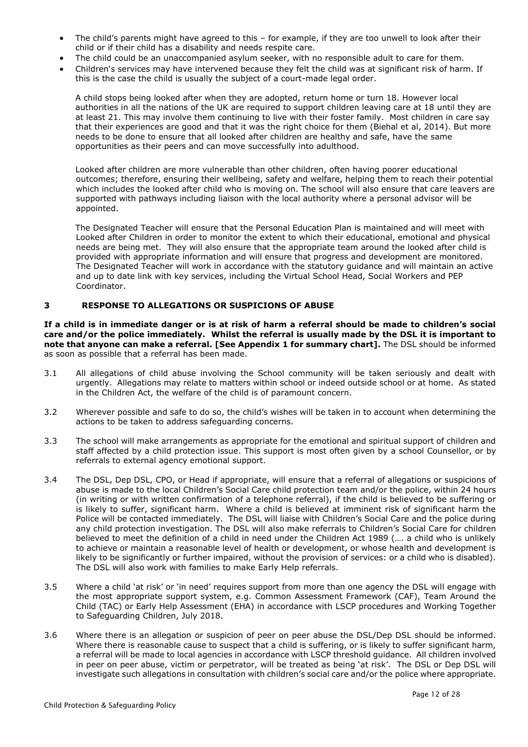- The child's parents might have agreed to this for example, if they are too unwell to look after their child or if their child has a disability and needs respite care.
- The child could be an unaccompanied asylum seeker, with no responsible adult to care for them.
- Children's services may have intervened because they felt the child was at significant risk of harm. If this is the case the child is usually the subject of a court-made legal order.

A child stops being looked after when they are adopted, return home or turn 18. However local authorities in all the nations of the UK are required to support children leaving care at 18 until they are at least 21. This may involve them continuing to live with their foster family. Most children in care say that their experiences are good and that it was the right choice for them (Biehal et al, 2014). But more needs to be done to ensure that all looked after children are healthy and safe, have the same opportunities as their peers and can move successfully into adulthood.

Looked after children are more vulnerable than other children, often having poorer educational outcomes; therefore, ensuring their wellbeing, safety and welfare, helping them to reach their potential which includes the looked after child who is moving on. The school will also ensure that care leavers are supported with pathways including liaison with the local authority where a personal advisor will be appointed.

The Designated Teacher will ensure that the Personal Education Plan is maintained and will meet with Looked after Children in order to monitor the extent to which their educational, emotional and physical needs are being met. They will also ensure that the appropriate team around the looked after child is provided with appropriate information and will ensure that progress and development are monitored. The Designated Teacher will work in accordance with the statutory guidance and will maintain an active and up to date link with key services, including the Virtual School Head, Social Workers and PEP Coordinator.

## **3 RESPONSE TO ALLEGATIONS OR SUSPICIONS OF ABUSE**

**If a child is in immediate danger or is at risk of harm a referral should be made to children's social care and/or the police immediately. Whilst the referral is usually made by the DSL it is important to note that anyone can make a referral. [See Appendix 1 for summary chart].** The DSL should be informed as soon as possible that a referral has been made.

- 3.1 All allegations of child abuse involving the School community will be taken seriously and dealt with urgently. Allegations may relate to matters within school or indeed outside school or at home. As stated in the Children Act, the welfare of the child is of paramount concern.
- 3.2 Wherever possible and safe to do so, the child's wishes will be taken in to account when determining the actions to be taken to address safeguarding concerns.
- 3.3 The school will make arrangements as appropriate for the emotional and spiritual support of children and staff affected by a child protection issue. This support is most often given by a school Counsellor, or by referrals to external agency emotional support.
- 3.4 The DSL, Dep DSL, CPO, or Head if appropriate, will ensure that a referral of allegations or suspicions of abuse is made to the local Children's Social Care child protection team and/or the police, within 24 hours (in writing or with written confirmation of a telephone referral), if the child is believed to be suffering or is likely to suffer, significant harm. Where a child is believed at imminent risk of significant harm the Police will be contacted immediately. The DSL will liaise with Children's Social Care and the police during any child protection investigation. The DSL will also make referrals to Children's Social Care for children believed to meet the definition of a child in need under the Children Act 1989 (…. a child who is unlikely to achieve or maintain a reasonable level of health or development, or whose health and development is likely to be significantly or further impaired, without the provision of services: or a child who is disabled). The DSL will also work with families to make Early Help referrals.
- 3.5 Where a child 'at risk' or 'in need' requires support from more than one agency the DSL will engage with the most appropriate support system, e.g. Common Assessment Framework (CAF), Team Around the Child (TAC) or Early Help Assessment (EHA) in accordance with LSCP procedures and Working Together to Safeguarding Children, July 2018.
- 3.6 Where there is an allegation or suspicion of peer on peer abuse the DSL/Dep DSL should be informed. Where there is reasonable cause to suspect that a child is suffering, or is likely to suffer significant harm, a referral will be made to local agencies in accordance with LSCP threshold guidance. All children involved in peer on peer abuse, victim or perpetrator, will be treated as being 'at risk'. The DSL or Dep DSL will investigate such allegations in consultation with children's social care and/or the police where appropriate.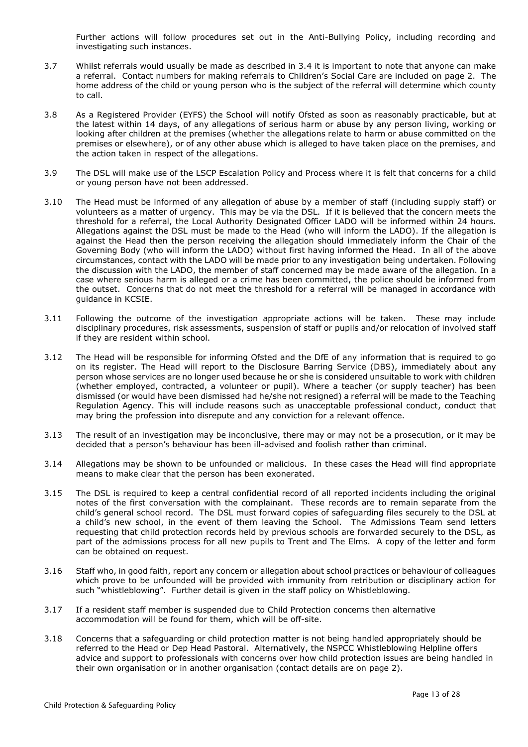Further actions will follow procedures set out in the Anti-Bullying Policy, including recording and investigating such instances.

- 3.7 Whilst referrals would usually be made as described in 3.4 it is important to note that anyone can make a referral. Contact numbers for making referrals to Children's Social Care are included on page 2. The home address of the child or young person who is the subject of the referral will determine which county to call.
- 3.8 As a Registered Provider (EYFS) the School will notify Ofsted as soon as reasonably practicable, but at the latest within 14 days, of any allegations of serious harm or abuse by any person living, working or looking after children at the premises (whether the allegations relate to harm or abuse committed on the premises or elsewhere), or of any other abuse which is alleged to have taken place on the premises, and the action taken in respect of the allegations.
- 3.9 The DSL will make use of the LSCP Escalation Policy and Process where it is felt that concerns for a child or young person have not been addressed.
- 3.10 The Head must be informed of any allegation of abuse by a member of staff (including supply staff) or volunteers as a matter of urgency. This may be via the DSL. If it is believed that the concern meets the threshold for a referral, the Local Authority Designated Officer LADO will be informed within 24 hours. Allegations against the DSL must be made to the Head (who will inform the LADO). If the allegation is against the Head then the person receiving the allegation should immediately inform the Chair of the Governing Body (who will inform the LADO) without first having informed the Head. In all of the above circumstances, contact with the LADO will be made prior to any investigation being undertaken. Following the discussion with the LADO, the member of staff concerned may be made aware of the allegation. In a case where serious harm is alleged or a crime has been committed, the police should be informed from the outset. Concerns that do not meet the threshold for a referral will be managed in accordance with guidance in KCSIE.
- 3.11 Following the outcome of the investigation appropriate actions will be taken. These may include disciplinary procedures, risk assessments, suspension of staff or pupils and/or relocation of involved staff if they are resident within school.
- 3.12 The Head will be responsible for informing Ofsted and the DfE of any information that is required to go on its register. The Head will report to the Disclosure Barring Service (DBS), immediately about any person whose services are no longer used because he or she is considered unsuitable to work with children (whether employed, contracted, a volunteer or pupil). Where a teacher (or supply teacher) has been dismissed (or would have been dismissed had he/she not resigned) a referral will be made to the Teaching Regulation Agency. This will include reasons such as unacceptable professional conduct, conduct that may bring the profession into disrepute and any conviction for a relevant offence.
- 3.13 The result of an investigation may be inconclusive, there may or may not be a prosecution, or it may be decided that a person's behaviour has been ill-advised and foolish rather than criminal.
- 3.14 Allegations may be shown to be unfounded or malicious. In these cases the Head will find appropriate means to make clear that the person has been exonerated.
- 3.15 The DSL is required to keep a central confidential record of all reported incidents including the original notes of the first conversation with the complainant. These records are to remain separate from the child's general school record. The DSL must forward copies of safeguarding files securely to the DSL at a child's new school, in the event of them leaving the School. The Admissions Team send letters requesting that child protection records held by previous schools are forwarded securely to the DSL, as part of the admissions process for all new pupils to Trent and The Elms. A copy of the letter and form can be obtained on request.
- 3.16 Staff who, in good faith, report any concern or allegation about school practices or behaviour of colleagues which prove to be unfounded will be provided with immunity from retribution or disciplinary action for such "whistleblowing". Further detail is given in the staff policy on Whistleblowing.
- 3.17 If a resident staff member is suspended due to Child Protection concerns then alternative accommodation will be found for them, which will be off-site.
- 3.18 Concerns that a safeguarding or child protection matter is not being handled appropriately should be referred to the Head or Dep Head Pastoral. Alternatively, the NSPCC Whistleblowing Helpline offers advice and support to professionals with concerns over how child protection issues are being handled in their own organisation or in another organisation (contact details are on page 2).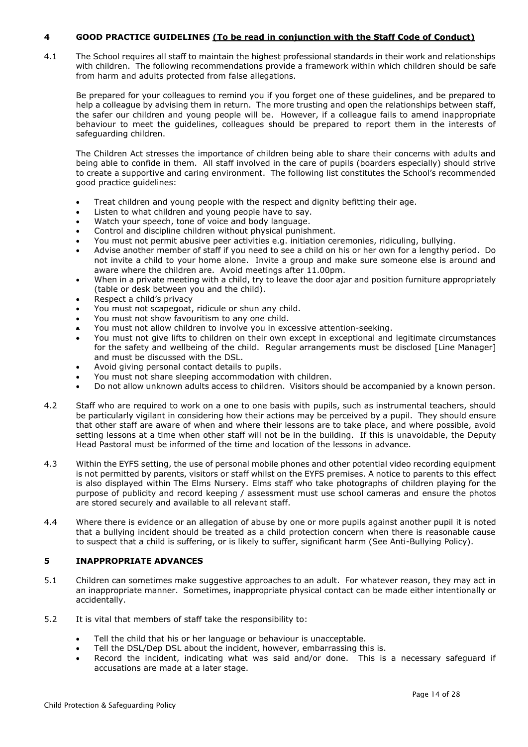#### **4 GOOD PRACTICE GUIDELINES (To be read in conjunction with the Staff Code of Conduct)**

4.1 The School requires all staff to maintain the highest professional standards in their work and relationships with children. The following recommendations provide a framework within which children should be safe from harm and adults protected from false allegations.

Be prepared for your colleagues to remind you if you forget one of these guidelines, and be prepared to help a colleague by advising them in return. The more trusting and open the relationships between staff, the safer our children and young people will be. However, if a colleague fails to amend inappropriate behaviour to meet the guidelines, colleagues should be prepared to report them in the interests of safeguarding children.

The Children Act stresses the importance of children being able to share their concerns with adults and being able to confide in them. All staff involved in the care of pupils (boarders especially) should strive to create a supportive and caring environment. The following list constitutes the School's recommended good practice guidelines:

- Treat children and young people with the respect and dignity befitting their age.
- Listen to what children and young people have to say.
- Watch your speech, tone of voice and body language.
- Control and discipline children without physical punishment.
- You must not permit abusive peer activities e.g. initiation ceremonies, ridiculing, bullying.
- Advise another member of staff if you need to see a child on his or her own for a lengthy period. Do not invite a child to your home alone. Invite a group and make sure someone else is around and aware where the children are. Avoid meetings after 11.00pm.
- When in a private meeting with a child, try to leave the door ajar and position furniture appropriately (table or desk between you and the child).
- Respect a child's privacy
- You must not scapegoat, ridicule or shun any child.
- You must not show favouritism to any one child.
- You must not allow children to involve you in excessive attention-seeking.
- You must not give lifts to children on their own except in exceptional and legitimate circumstances for the safety and wellbeing of the child. Regular arrangements must be disclosed [Line Manager] and must be discussed with the DSL.
- Avoid giving personal contact details to pupils.
- You must not share sleeping accommodation with children.
- Do not allow unknown adults access to children. Visitors should be accompanied by a known person.
- 4.2 Staff who are required to work on a one to one basis with pupils, such as instrumental teachers, should be particularly vigilant in considering how their actions may be perceived by a pupil. They should ensure that other staff are aware of when and where their lessons are to take place, and where possible, avoid setting lessons at a time when other staff will not be in the building. If this is unavoidable, the Deputy Head Pastoral must be informed of the time and location of the lessons in advance.
- 4.3 Within the EYFS setting, the use of personal mobile phones and other potential video recording equipment is not permitted by parents, visitors or staff whilst on the EYFS premises. A notice to parents to this effect is also displayed within The Elms Nursery. Elms staff who take photographs of children playing for the purpose of publicity and record keeping / assessment must use school cameras and ensure the photos are stored securely and available to all relevant staff.
- 4.4 Where there is evidence or an allegation of abuse by one or more pupils against another pupil it is noted that a bullying incident should be treated as a child protection concern when there is reasonable cause to suspect that a child is suffering, or is likely to suffer, significant harm (See Anti-Bullying Policy).

## **5 INAPPROPRIATE ADVANCES**

- 5.1 Children can sometimes make suggestive approaches to an adult. For whatever reason, they may act in an inappropriate manner. Sometimes, inappropriate physical contact can be made either intentionally or accidentally.
- 5.2 It is vital that members of staff take the responsibility to:
	- Tell the child that his or her language or behaviour is unacceptable.
	- Tell the DSL/Dep DSL about the incident, however, embarrassing this is.
	- Record the incident, indicating what was said and/or done. This is a necessary safeguard if accusations are made at a later stage.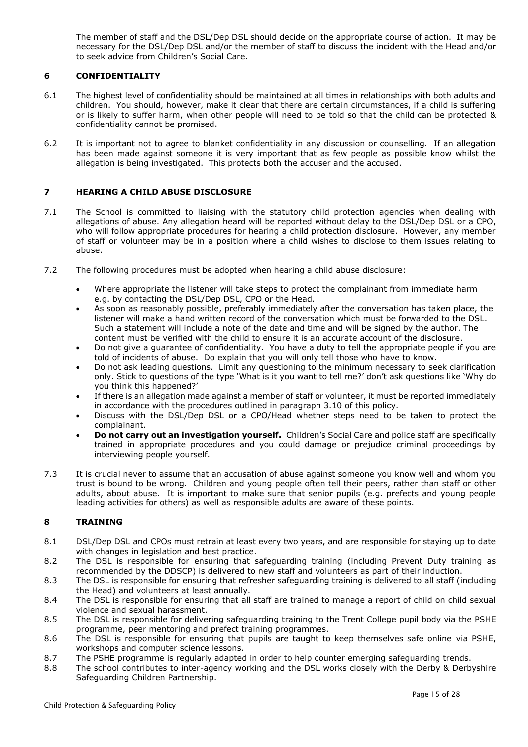The member of staff and the DSL/Dep DSL should decide on the appropriate course of action. It may be necessary for the DSL/Dep DSL and/or the member of staff to discuss the incident with the Head and/or to seek advice from Children's Social Care.

## **6 CONFIDENTIALITY**

- 6.1 The highest level of confidentiality should be maintained at all times in relationships with both adults and children. You should, however, make it clear that there are certain circumstances, if a child is suffering or is likely to suffer harm, when other people will need to be told so that the child can be protected & confidentiality cannot be promised.
- 6.2 It is important not to agree to blanket confidentiality in any discussion or counselling. If an allegation has been made against someone it is very important that as few people as possible know whilst the allegation is being investigated. This protects both the accuser and the accused.

#### **7 HEARING A CHILD ABUSE DISCLOSURE**

- 7.1 The School is committed to liaising with the statutory child protection agencies when dealing with allegations of abuse. Any allegation heard will be reported without delay to the DSL/Dep DSL or a CPO, who will follow appropriate procedures for hearing a child protection disclosure. However, any member of staff or volunteer may be in a position where a child wishes to disclose to them issues relating to abuse.
- 7.2 The following procedures must be adopted when hearing a child abuse disclosure:
	- Where appropriate the listener will take steps to protect the complainant from immediate harm e.g. by contacting the DSL/Dep DSL, CPO or the Head.
	- As soon as reasonably possible, preferably immediately after the conversation has taken place, the listener will make a hand written record of the conversation which must be forwarded to the DSL. Such a statement will include a note of the date and time and will be signed by the author. The content must be verified with the child to ensure it is an accurate account of the disclosure.
	- Do not give a guarantee of confidentiality. You have a duty to tell the appropriate people if you are told of incidents of abuse. Do explain that you will only tell those who have to know.
	- Do not ask leading questions. Limit any questioning to the minimum necessary to seek clarification only. Stick to questions of the type 'What is it you want to tell me?' don't ask questions like 'Why do you think this happened?'
	- If there is an allegation made against a member of staff or volunteer, it must be reported immediately in accordance with the procedures outlined in paragraph 3.10 of this policy.
	- Discuss with the DSL/Dep DSL or a CPO/Head whether steps need to be taken to protect the complainant.
	- **Do not carry out an investigation yourself.** Children's Social Care and police staff are specifically trained in appropriate procedures and you could damage or prejudice criminal proceedings by interviewing people yourself.
- 7.3 It is crucial never to assume that an accusation of abuse against someone you know well and whom you trust is bound to be wrong. Children and young people often tell their peers, rather than staff or other adults, about abuse. It is important to make sure that senior pupils (e.g. prefects and young people leading activities for others) as well as responsible adults are aware of these points.

#### **8 TRAINING**

- 8.1 DSL/Dep DSL and CPOs must retrain at least every two years, and are responsible for staying up to date with changes in legislation and best practice.
- 8.2 The DSL is responsible for ensuring that safeguarding training (including Prevent Duty training as recommended by the DDSCP) is delivered to new staff and volunteers as part of their induction.
- 8.3 The DSL is responsible for ensuring that refresher safeguarding training is delivered to all staff (including the Head) and volunteers at least annually.
- 8.4 The DSL is responsible for ensuring that all staff are trained to manage a report of child on child sexual violence and sexual harassment.
- 8.5 The DSL is responsible for delivering safeguarding training to the Trent College pupil body via the PSHE programme, peer mentoring and prefect training programmes.
- 8.6 The DSL is responsible for ensuring that pupils are taught to keep themselves safe online via PSHE, workshops and computer science lessons.
- 8.7 The PSHE programme is regularly adapted in order to help counter emerging safeguarding trends.
- 8.8 The school contributes to inter-agency working and the DSL works closely with the Derby & Derbyshire Safeguarding Children Partnership.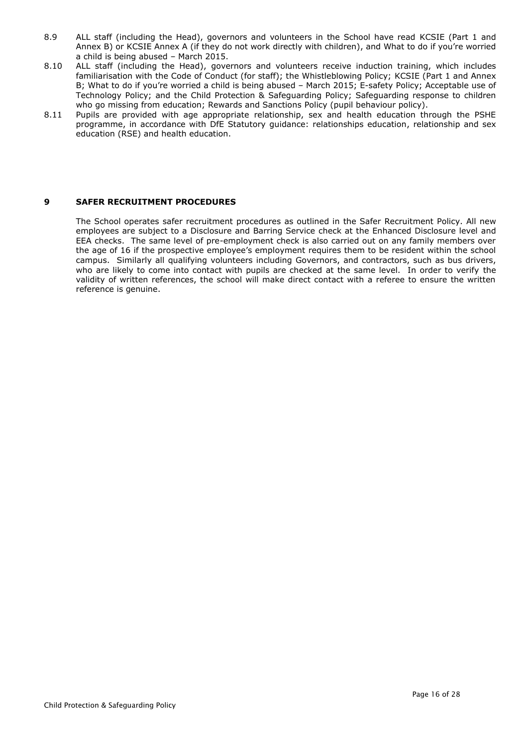- 8.9 ALL staff (including the Head), governors and volunteers in the School have read KCSIE (Part 1 and Annex B) or KCSIE Annex A (if they do not work directly with children), and What to do if you're worried a child is being abused – March 2015.
- 8.10 ALL staff (including the Head), governors and volunteers receive induction training, which includes familiarisation with the Code of Conduct (for staff); the Whistleblowing Policy; KCSIE (Part 1 and Annex B; What to do if you're worried a child is being abused – March 2015; E-safety Policy; Acceptable use of Technology Policy; and the Child Protection & Safeguarding Policy; Safeguarding response to children who go missing from education; Rewards and Sanctions Policy (pupil behaviour policy).
- 8.11 Pupils are provided with age appropriate relationship, sex and health education through the PSHE programme, in accordance with DfE Statutory guidance: relationships education, relationship and sex education (RSE) and health education.

#### **9 SAFER RECRUITMENT PROCEDURES**

The School operates safer recruitment procedures as outlined in the Safer Recruitment Policy. All new employees are subject to a Disclosure and Barring Service check at the Enhanced Disclosure level and EEA checks. The same level of pre-employment check is also carried out on any family members over the age of 16 if the prospective employee's employment requires them to be resident within the school campus. Similarly all qualifying volunteers including Governors, and contractors, such as bus drivers, who are likely to come into contact with pupils are checked at the same level. In order to verify the validity of written references, the school will make direct contact with a referee to ensure the written reference is genuine.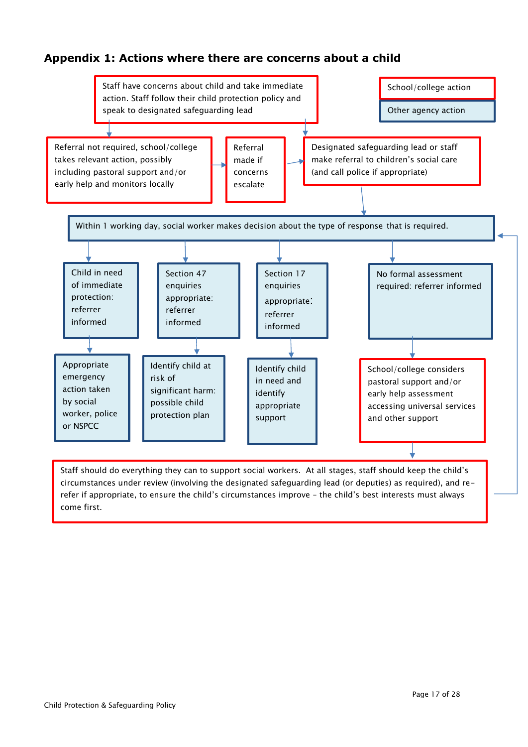# **Appendix 1: Actions where there are concerns about a child**



circumstances under review (involving the designated safeguarding lead (or deputies) as required), and rerefer if appropriate, to ensure the child's circumstances improve – the child's best interests must always come first.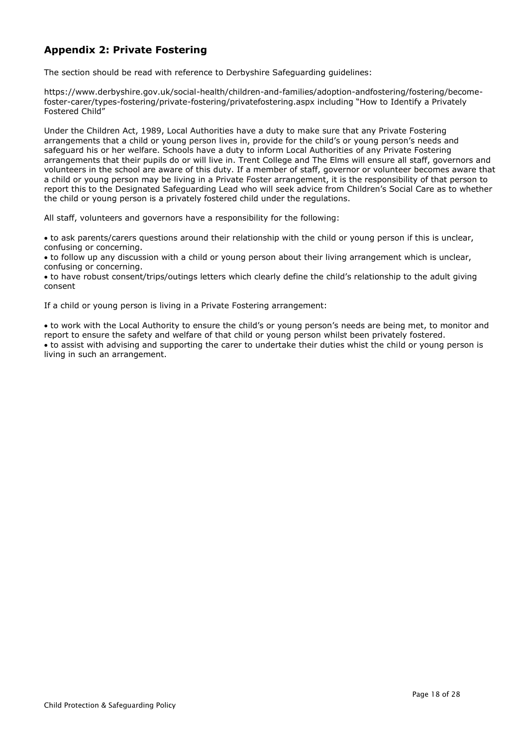# **Appendix 2: Private Fostering**

The section should be read with reference to Derbyshire Safeguarding guidelines:

https://www.derbyshire.gov.uk/social-health/children-and-families/adoption-andfostering/fostering/becomefoster-carer/types-fostering/private-fostering/privatefostering.aspx including "How to Identify a Privately Fostered Child"

Under the Children Act, 1989, Local Authorities have a duty to make sure that any Private Fostering arrangements that a child or young person lives in, provide for the child's or young person's needs and safeguard his or her welfare. Schools have a duty to inform Local Authorities of any Private Fostering arrangements that their pupils do or will live in. Trent College and The Elms will ensure all staff, governors and volunteers in the school are aware of this duty. If a member of staff, governor or volunteer becomes aware that a child or young person may be living in a Private Foster arrangement, it is the responsibility of that person to report this to the Designated Safeguarding Lead who will seek advice from Children's Social Care as to whether the child or young person is a privately fostered child under the regulations.

All staff, volunteers and governors have a responsibility for the following:

• to ask parents/carers questions around their relationship with the child or young person if this is unclear, confusing or concerning.

• to follow up any discussion with a child or young person about their living arrangement which is unclear, confusing or concerning.

• to have robust consent/trips/outings letters which clearly define the child's relationship to the adult giving consent

If a child or young person is living in a Private Fostering arrangement:

• to work with the Local Authority to ensure the child's or young person's needs are being met, to monitor and report to ensure the safety and welfare of that child or young person whilst been privately fostered.

• to assist with advising and supporting the carer to undertake their duties whist the child or young person is living in such an arrangement.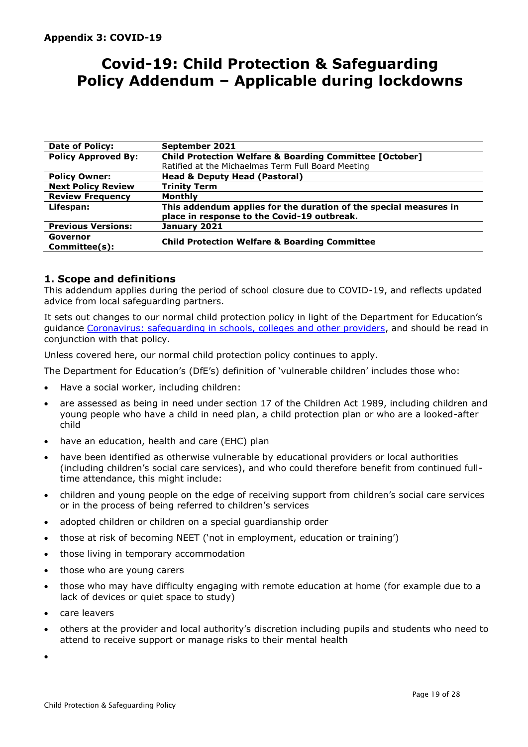# **Covid-19: Child Protection & Safeguarding Policy Addendum – Applicable during lockdowns**

| <b>Date of Policy:</b>     | September 2021                                                     |  |  |
|----------------------------|--------------------------------------------------------------------|--|--|
| <b>Policy Approved By:</b> | <b>Child Protection Welfare &amp; Boarding Committee [October]</b> |  |  |
|                            | Ratified at the Michaelmas Term Full Board Meeting                 |  |  |
| <b>Policy Owner:</b>       | <b>Head &amp; Deputy Head (Pastoral)</b>                           |  |  |
| <b>Next Policy Review</b>  | <b>Trinity Term</b>                                                |  |  |
| <b>Review Frequency</b>    | Monthly                                                            |  |  |
| Lifespan:                  | This addendum applies for the duration of the special measures in  |  |  |
|                            | place in response to the Covid-19 outbreak.                        |  |  |
| <b>Previous Versions:</b>  | January 2021                                                       |  |  |
| Governor<br>Committee(s):  | <b>Child Protection Welfare &amp; Boarding Committee</b>           |  |  |

# **1. Scope and definitions**

This addendum applies during the period of school closure due to COVID-19, and reflects updated advice from local safeguarding partners.

It sets out changes to our normal child protection policy in light of the Department for Education's guidance [Coronavirus: safeguarding in schools, colleges and other providers,](https://www.gov.uk/government/publications/covid-19-safeguarding-in-schools-colleges-and-other-providers) and should be read in conjunction with that policy.

Unless covered here, our normal child protection policy continues to apply.

The Department for Education's (DfE's) definition of 'vulnerable children' includes those who:

- Have a social worker, including children:
- are assessed as being in need under section 17 of the Children Act 1989, including children and young people who have a child in need plan, a child protection plan or who are a looked-after child
- have an education, health and care (EHC) plan
- have been identified as otherwise vulnerable by educational providers or local authorities (including children's social care services), and who could therefore benefit from continued fulltime attendance, this might include:
- children and young people on the edge of receiving support from children's social care services or in the process of being referred to children's services
- adopted children or children on a special guardianship order
- those at risk of becoming NEET ('not in employment, education or training')
- those living in temporary accommodation
- those who are young carers
- those who may have difficulty engaging with remote education at home (for example due to a lack of devices or quiet space to study)
- care leavers
- others at the provider and local authority's discretion including pupils and students who need to attend to receive support or manage risks to their mental health

•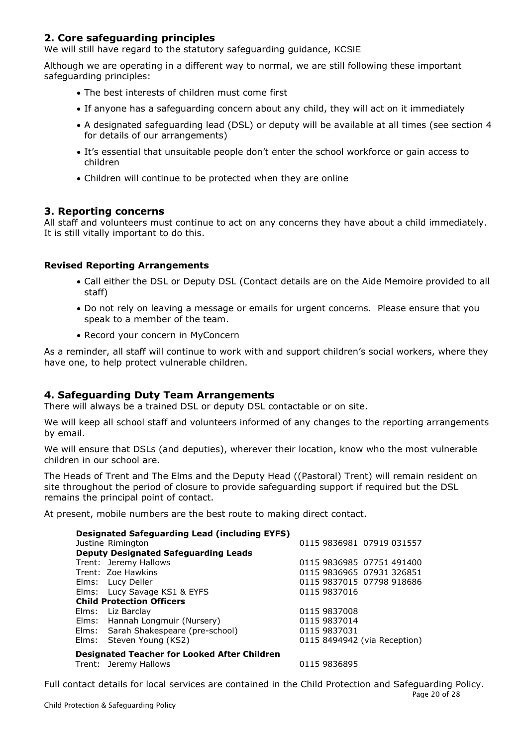# **2. Core safeguarding principles**

We will still have regard to the statutory safeguarding guidance, KCSIE

Although we are operating in a different way to normal, we are still following these important safeguarding principles:

- The best interests of children must come first
- If anyone has a safeguarding concern about any child, they will act on it immediately
- A designated safeguarding lead (DSL) or deputy will be available at all times (see section 4 for details of our arrangements)
- It's essential that unsuitable people don't enter the school workforce or gain access to children
- Children will continue to be protected when they are online

# **3. Reporting concerns**

All staff and volunteers must continue to act on any concerns they have about a child immediately. It is still vitally important to do this.

# **Revised Reporting Arrangements**

- Call either the DSL or Deputy DSL (Contact details are on the Aide Memoire provided to all staff)
- Do not rely on leaving a message or emails for urgent concerns. Please ensure that you speak to a member of the team.
- Record your concern in MyConcern

As a reminder, all staff will continue to work with and support children's social workers, where they have one, to help protect vulnerable children.

# **4. Safeguarding Duty Team Arrangements**

There will always be a trained DSL or deputy DSL contactable or on site.

We will keep all school staff and volunteers informed of any changes to the reporting arrangements by email.

We will ensure that DSLs (and deputies), wherever their location, know who the most vulnerable children in our school are.

The Heads of Trent and The Elms and the Deputy Head ((Pastoral) Trent) will remain resident on site throughout the period of closure to provide safeguarding support if required but the DSL remains the principal point of contact.

At present, mobile numbers are the best route to making direct contact.

|                                                     | <b>Designated Safeguarding Lead (including EYFS)</b> |                           |                              |  |
|-----------------------------------------------------|------------------------------------------------------|---------------------------|------------------------------|--|
| Justine Rimington                                   |                                                      |                           | 0115 9836981 07919 031557    |  |
|                                                     | <b>Deputy Designated Safeguarding Leads</b>          |                           |                              |  |
|                                                     | Trent: Jeremy Hallows                                |                           | 0115 9836985 07751 491400    |  |
|                                                     | Trent: Zoe Hawkins                                   | 0115 9836965 07931 326851 |                              |  |
|                                                     | Elms: Lucy Deller                                    |                           | 0115 9837015 07798 918686    |  |
|                                                     | Elms: Lucy Savage KS1 & EYFS                         | 0115 9837016              |                              |  |
|                                                     | <b>Child Protection Officers</b>                     |                           |                              |  |
|                                                     | Elms: Liz Barclay                                    | 0115 9837008              |                              |  |
|                                                     | Elms: Hannah Longmuir (Nursery)                      | 0115 9837014              |                              |  |
|                                                     | Elms: Sarah Shakespeare (pre-school)                 | 0115 9837031              |                              |  |
|                                                     | Elms: Steven Young (KS2)                             |                           | 0115 8494942 (via Reception) |  |
| <b>Designated Teacher for Looked After Children</b> |                                                      |                           |                              |  |
|                                                     | Trent: Jeremy Hallows                                | 0115 9836895              |                              |  |

Page 20 of 28 Full contact details for local services are contained in the Child Protection and Safeguarding Policy.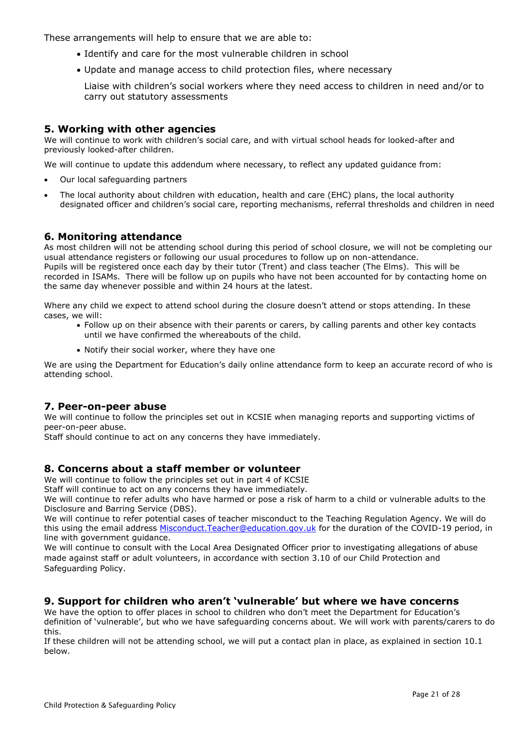These arrangements will help to ensure that we are able to:

- Identify and care for the most vulnerable children in school
- Update and manage access to child protection files, where necessary

Liaise with children's social workers where they need access to children in need and/or to carry out statutory assessments

# **5. Working with other agencies**

We will continue to work with children's social care, and with virtual school heads for looked-after and previously looked-after children.

We will continue to update this addendum where necessary, to reflect any updated guidance from:

- Our local safeguarding partners
- The local authority about children with education, health and care (EHC) plans, the local authority designated officer and children's social care, reporting mechanisms, referral thresholds and children in need

## **6. Monitoring attendance**

As most children will not be attending school during this period of school closure, we will not be completing our usual attendance registers or following our usual procedures to follow up on non-attendance. Pupils will be registered once each day by their tutor (Trent) and class teacher (The Elms). This will be

recorded in ISAMs. There will be follow up on pupils who have not been accounted for by contacting home on the same day whenever possible and within 24 hours at the latest.

Where any child we expect to attend school during the closure doesn't attend or stops attending. In these cases, we will:

- Follow up on their absence with their parents or carers, by calling parents and other key contacts until we have confirmed the whereabouts of the child.
- Notify their social worker, where they have one

We are using the Department for Education's daily online attendance form to keep an accurate record of who is attending school.

#### **7. Peer-on-peer abuse**

We will continue to follow the principles set out in KCSIE when managing reports and supporting victims of peer-on-peer abuse.

Staff should continue to act on any concerns they have immediately.

## **8. Concerns about a staff member or volunteer**

We will continue to follow the principles set out in part 4 of KCSIE

Staff will continue to act on any concerns they have immediately.

We will continue to refer adults who have harmed or pose a risk of harm to a child or vulnerable adults to the Disclosure and Barring Service (DBS).

We will continue to refer potential cases of teacher misconduct to the Teaching Regulation Agency. We will do this using the email address [Misconduct.Teacher@education.gov.uk](mailto:Misconduct.Teacher@education.gov.uk) for the duration of the COVID-19 period, in line with government guidance.

We will continue to consult with the Local Area Designated Officer prior to investigating allegations of abuse made against staff or adult volunteers, in accordance with section 3.10 of our Child Protection and Safeguarding Policy.

## **9. Support for children who aren't 'vulnerable' but where we have concerns**

We have the option to offer places in school to children who don't meet the Department for Education's definition of 'vulnerable', but who we have safeguarding concerns about. We will work with parents/carers to do this.

If these children will not be attending school, we will put a contact plan in place, as explained in section 10.1 below.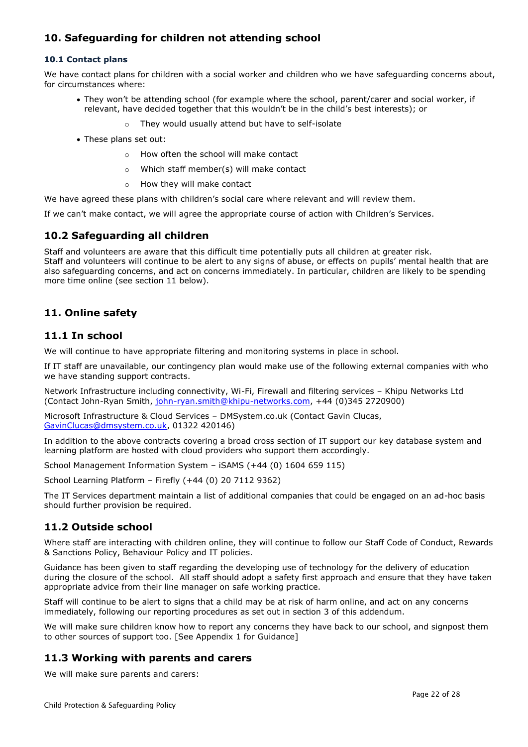# **10. Safeguarding for children not attending school**

#### **10.1 Contact plans**

We have contact plans for children with a social worker and children who we have safeguarding concerns about, for circumstances where:

- They won't be attending school (for example where the school, parent/carer and social worker, if relevant, have decided together that this wouldn't be in the child's best interests); or
	- o They would usually attend but have to self-isolate
- These plans set out:
	- o How often the school will make contact
	- o Which staff member(s) will make contact
	- o How they will make contact

We have agreed these plans with children's social care where relevant and will review them.

If we can't make contact, we will agree the appropriate course of action with Children's Services.

# **10.2 Safeguarding all children**

Staff and volunteers are aware that this difficult time potentially puts all children at greater risk. Staff and volunteers will continue to be alert to any signs of abuse, or effects on pupils' mental health that are also safeguarding concerns, and act on concerns immediately. In particular, children are likely to be spending more time online (see section 11 below).

# **11. Online safety**

# **11.1 In school**

We will continue to have appropriate filtering and monitoring systems in place in school.

If IT staff are unavailable, our contingency plan would make use of the following external companies with who we have standing support contracts.

Network Infrastructure including connectivity, Wi-Fi, Firewall and filtering services – Khipu Networks Ltd (Contact John-Ryan Smith, [john-ryan.smith@khipu-networks.com,](mailto:john-ryan.smith@khipu-networks.com) +44 (0)345 2720900)

Microsoft Infrastructure & Cloud Services – DMSystem.co.uk (Contact Gavin Clucas, [GavinClucas@dmsystem.co.uk,](mailto:GavinClucas@dmsystem.co.uk) 01322 420146)

In addition to the above contracts covering a broad cross section of IT support our key database system and learning platform are hosted with cloud providers who support them accordingly.

School Management Information System – iSAMS (+44 (0) 1604 659 115)

School Learning Platform – Firefly (+44 (0) 20 7112 9362)

The IT Services department maintain a list of additional companies that could be engaged on an ad-hoc basis should further provision be required.

# **11.2 Outside school**

Where staff are interacting with children online, they will continue to follow our Staff Code of Conduct, Rewards & Sanctions Policy, Behaviour Policy and IT policies.

Guidance has been given to staff regarding the developing use of technology for the delivery of education during the closure of the school. All staff should adopt a safety first approach and ensure that they have taken appropriate advice from their line manager on safe working practice.

Staff will continue to be alert to signs that a child may be at risk of harm online, and act on any concerns immediately, following our reporting procedures as set out in section 3 of this addendum.

We will make sure children know how to report any concerns they have back to our school, and signpost them to other sources of support too. [See Appendix 1 for Guidance]

# **11.3 Working with parents and carers**

We will make sure parents and carers: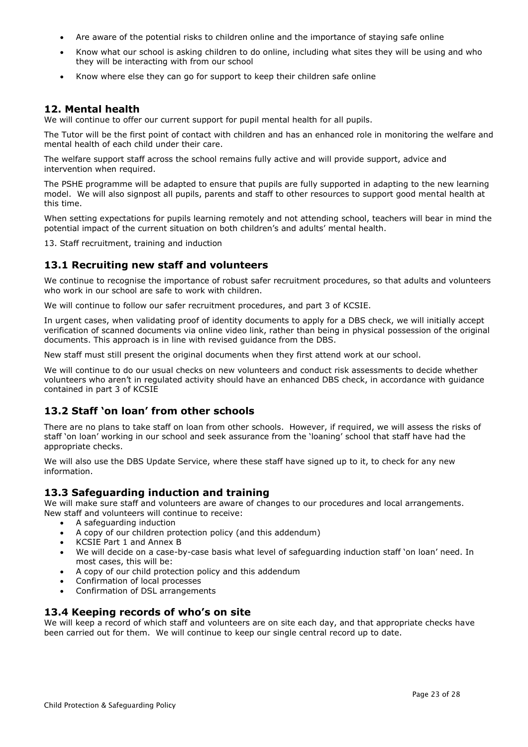- Are aware of the potential risks to children online and the importance of staying safe online
- Know what our school is asking children to do online, including what sites they will be using and who they will be interacting with from our school
- Know where else they can go for support to keep their children safe online

# **12. Mental health**

We will continue to offer our current support for pupil mental health for all pupils.

The Tutor will be the first point of contact with children and has an enhanced role in monitoring the welfare and mental health of each child under their care.

The welfare support staff across the school remains fully active and will provide support, advice and intervention when required.

The PSHE programme will be adapted to ensure that pupils are fully supported in adapting to the new learning model. We will also signpost all pupils, parents and staff to other resources to support good mental health at this time.

When setting expectations for pupils learning remotely and not attending school, teachers will bear in mind the potential impact of the current situation on both children's and adults' mental health.

13. Staff recruitment, training and induction

# **13.1 Recruiting new staff and volunteers**

We continue to recognise the importance of robust safer recruitment procedures, so that adults and volunteers who work in our school are safe to work with children.

We will continue to follow our safer recruitment procedures, and part 3 of KCSIE.

In urgent cases, when validating proof of identity documents to apply for a DBS check, we will initially accept verification of scanned documents via online video link, rather than being in physical possession of the original documents. This approach is in line with revised guidance from the DBS.

New staff must still present the original documents when they first attend work at our school.

We will continue to do our usual checks on new volunteers and conduct risk assessments to decide whether volunteers who aren't in regulated activity should have an enhanced DBS check, in accordance with guidance contained in part 3 of KCSIE

# **13.2 Staff 'on loan' from other schools**

There are no plans to take staff on loan from other schools. However, if required, we will assess the risks of staff 'on loan' working in our school and seek assurance from the 'loaning' school that staff have had the appropriate checks.

We will also use the DBS Update Service, where these staff have signed up to it, to check for any new information.

# **13.3 Safeguarding induction and training**

We will make sure staff and volunteers are aware of changes to our procedures and local arrangements. New staff and volunteers will continue to receive:

- A safeguarding induction
- A copy of our children protection policy (and this addendum)
- KCSIE Part 1 and Annex B
- We will decide on a case-by-case basis what level of safeguarding induction staff 'on loan' need. In most cases, this will be:
- A copy of our child protection policy and this addendum
- Confirmation of local processes
- Confirmation of DSL arrangements

## **13.4 Keeping records of who's on site**

We will keep a record of which staff and volunteers are on site each day, and that appropriate checks have been carried out for them. We will continue to keep our single central record up to date.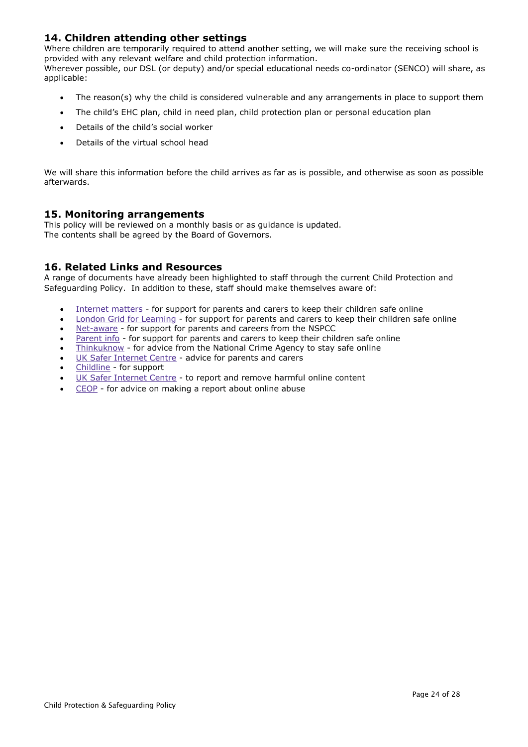# **14. Children attending other settings**

Where children are temporarily required to attend another setting, we will make sure the receiving school is provided with any relevant welfare and child protection information.

Wherever possible, our DSL (or deputy) and/or special educational needs co-ordinator (SENCO) will share, as applicable:

- The reason(s) why the child is considered vulnerable and any arrangements in place to support them
- The child's EHC plan, child in need plan, child protection plan or personal education plan
- Details of the child's social worker
- Details of the virtual school head

We will share this information before the child arrives as far as is possible, and otherwise as soon as possible afterwards.

# **15. Monitoring arrangements**

This policy will be reviewed on a monthly basis or as guidance is updated. The contents shall be agreed by the Board of Governors.

# **16. Related Links and Resources**

A range of documents have already been highlighted to staff through the current Child Protection and Safeguarding Policy. In addition to these, staff should make themselves aware of:

- [Internet matters](https://www.internetmatters.org/?gclid=EAIaIQobChMIktuA5LWK2wIVRYXVCh2afg2aEAAYASAAEgIJ5vD_BwE) for support for parents and carers to keep their children safe online
- [London Grid for Learning](http://www.lgfl.net/online-safety/) for support for parents and carers to keep their children safe online
- [Net-aware](https://www.net-aware.org.uk/) for support for parents and careers from the NSPCC
- [Parent info](https://parentinfo.org/) for support for parents and carers to keep their children safe online
- [Thinkuknow](http://www.thinkuknow.co.uk/) for advice from the National Crime Agency to stay safe online
- [UK Safer Internet Centre](https://www.saferinternet.org.uk/advice-centre/parents-and-carers) advice for parents and carers
- [Childline](https://www.childline.org.uk/?utm_source=google&utm_medium=cpc&utm_campaign=UK_GO_S_B_BND_Grant_Childline_Information&utm_term=role_of_childline&gclsrc=aw.ds&&gclid=EAIaIQobChMIlfLRh-ez6AIVRrDtCh1N9QR2EAAYASAAEgLc-vD_BwE&gclsrc=aw.ds) for support
- [UK Safer Internet Centre](https://reportharmfulcontent.com/) to report and remove harmful online content
- [CEOP](https://www.ceop.police.uk/safety-centre/) for advice on making a report about online abuse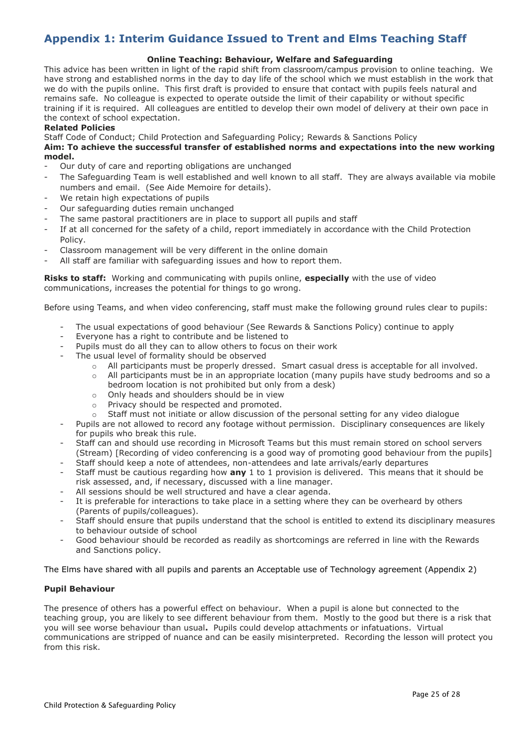# **Appendix 1: Interim Guidance Issued to Trent and Elms Teaching Staff**

#### **Online Teaching: Behaviour, Welfare and Safeguarding**

This advice has been written in light of the rapid shift from classroom/campus provision to online teaching. We have strong and established norms in the day to day life of the school which we must establish in the work that we do with the pupils online. This first draft is provided to ensure that contact with pupils feels natural and remains safe. No colleague is expected to operate outside the limit of their capability or without specific training if it is required. All colleagues are entitled to develop their own model of delivery at their own pace in the context of school expectation.

#### **Related Policies**

Staff Code of Conduct; Child Protection and Safeguarding Policy; Rewards & Sanctions Policy

**Aim: To achieve the successful transfer of established norms and expectations into the new working model.**

- Our duty of care and reporting obligations are unchanged
- The Safeguarding Team is well established and well known to all staff. They are always available via mobile numbers and email. (See Aide Memoire for details).
- We retain high expectations of pupils
- Our safeguarding duties remain unchanged
- The same pastoral practitioners are in place to support all pupils and staff
- If at all concerned for the safety of a child, report immediately in accordance with the Child Protection Policy.
- Classroom management will be very different in the online domain
- All staff are familiar with safeguarding issues and how to report them.

**Risks to staff:** Working and communicating with pupils online, **especially** with the use of video communications, increases the potential for things to go wrong.

Before using Teams, and when video conferencing, staff must make the following ground rules clear to pupils:

- The usual expectations of good behaviour (See Rewards & Sanctions Policy) continue to apply
- Everyone has a right to contribute and be listened to
- Pupils must do all they can to allow others to focus on their work
- The usual level of formality should be observed
	- o All participants must be properly dressed. Smart casual dress is acceptable for all involved.
	- $\circ$  All participants must be in an appropriate location (many pupils have study bedrooms and so a bedroom location is not prohibited but only from a desk)
	- o Only heads and shoulders should be in view
	- o Privacy should be respected and promoted.
	- o Staff must not initiate or allow discussion of the personal setting for any video dialogue
- Pupils are not allowed to record any footage without permission. Disciplinary consequences are likely for pupils who break this rule.
- Staff can and should use recording in Microsoft Teams but this must remain stored on school servers (Stream) [Recording of video conferencing is a good way of promoting good behaviour from the pupils]
- Staff should keep a note of attendees, non-attendees and late arrivals/early departures
- Staff must be cautious regarding how **any** 1 to 1 provision is delivered. This means that it should be risk assessed, and, if necessary, discussed with a line manager.
- All sessions should be well structured and have a clear agenda.
- It is preferable for interactions to take place in a setting where they can be overheard by others (Parents of pupils/colleagues).
- Staff should ensure that pupils understand that the school is entitled to extend its disciplinary measures to behaviour outside of school
- Good behaviour should be recorded as readily as shortcomings are referred in line with the Rewards and Sanctions policy.

The Elms have shared with all pupils and parents an Acceptable use of Technology agreement (Appendix 2)

#### **Pupil Behaviour**

The presence of others has a powerful effect on behaviour. When a pupil is alone but connected to the teaching group, you are likely to see different behaviour from them. Mostly to the good but there is a risk that you will see worse behaviour than usual**.** Pupils could develop attachments or infatuations. Virtual communications are stripped of nuance and can be easily misinterpreted. Recording the lesson will protect you from this risk.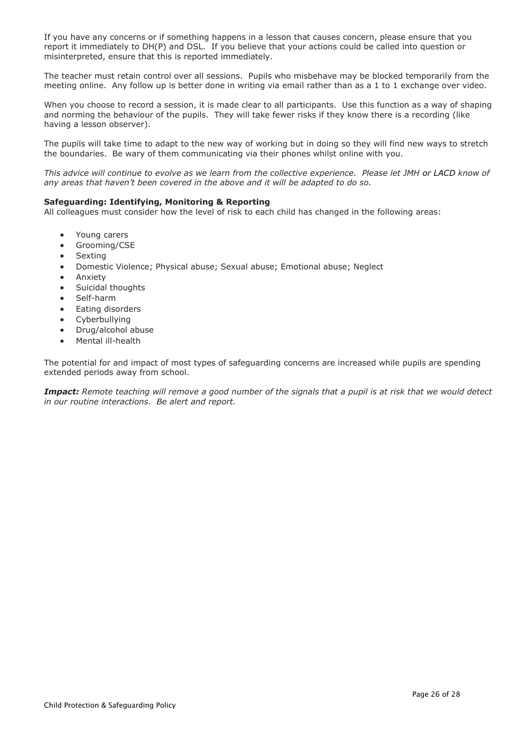If you have any concerns or if something happens in a lesson that causes concern, please ensure that you report it immediately to DH(P) and DSL. If you believe that your actions could be called into question or misinterpreted, ensure that this is reported immediately.

The teacher must retain control over all sessions. Pupils who misbehave may be blocked temporarily from the meeting online. Any follow up is better done in writing via email rather than as a 1 to 1 exchange over video.

When you choose to record a session, it is made clear to all participants. Use this function as a way of shaping and norming the behaviour of the pupils. They will take fewer risks if they know there is a recording (like having a lesson observer).

The pupils will take time to adapt to the new way of working but in doing so they will find new ways to stretch the boundaries. Be wary of them communicating via their phones whilst online with you.

*This advice will continue to evolve as we learn from the collective experience. Please let JMH or LACD know of any areas that haven't been covered in the above and it will be adapted to do so.*

#### **Safeguarding: Identifying, Monitoring & Reporting**

All colleagues must consider how the level of risk to each child has changed in the following areas:

- Young carers
- Grooming/CSE
- **Sexting**
- Domestic Violence; Physical abuse; Sexual abuse; Emotional abuse; Neglect
- **Anxiety**
- Suicidal thoughts
- Self-harm
- Eating disorders
- **Cyberbullying**
- Drug/alcohol abuse
- Mental ill-health

The potential for and impact of most types of safeguarding concerns are increased while pupils are spending extended periods away from school.

*Impact: Remote teaching will remove a good number of the signals that a pupil is at risk that we would detect in our routine interactions. Be alert and report.*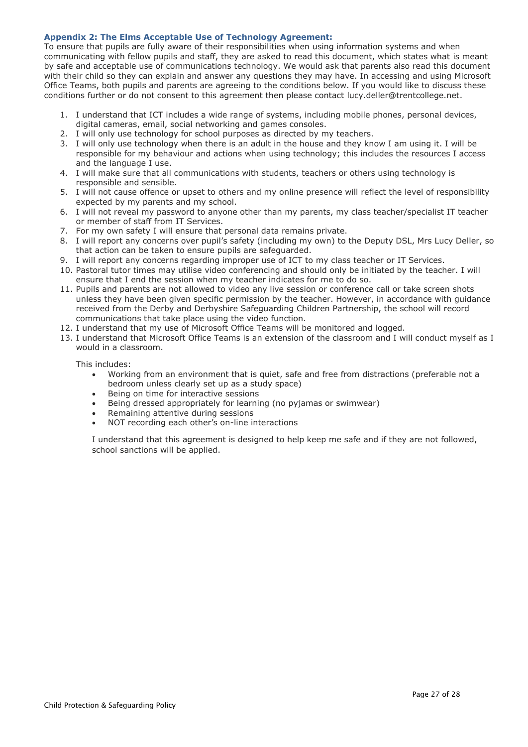#### **Appendix 2: The Elms Acceptable Use of Technology Agreement:**

To ensure that pupils are fully aware of their responsibilities when using information systems and when communicating with fellow pupils and staff, they are asked to read this document, which states what is meant by safe and acceptable use of communications technology. We would ask that parents also read this document with their child so they can explain and answer any questions they may have. In accessing and using Microsoft Office Teams, both pupils and parents are agreeing to the conditions below. If you would like to discuss these conditions further or do not consent to this agreement then please contact [lucy.deller@trentcollege.net.](mailto:lucy.deller@trentcollege.net)

- 1. I understand that ICT includes a wide range of systems, including mobile phones, personal devices, digital cameras, email, social networking and games consoles.
- 2. I will only use technology for school purposes as directed by my teachers.
- 3. I will only use technology when there is an adult in the house and they know I am using it. I will be responsible for my behaviour and actions when using technology; this includes the resources I access and the language I use.
- 4. I will make sure that all communications with students, teachers or others using technology is responsible and sensible.
- 5. I will not cause offence or upset to others and my online presence will reflect the level of responsibility expected by my parents and my school.
- 6. I will not reveal my password to anyone other than my parents, my class teacher/specialist IT teacher or member of staff from IT Services.
- 7. For my own safety I will ensure that personal data remains private.
- 8. I will report any concerns over pupil's safety (including my own) to the Deputy DSL, Mrs Lucy Deller, so that action can be taken to ensure pupils are safeguarded.
- 9. I will report any concerns regarding improper use of ICT to my class teacher or IT Services.
- 10. Pastoral tutor times may utilise video conferencing and should only be initiated by the teacher. I will ensure that I end the session when my teacher indicates for me to do so.
- 11. Pupils and parents are not allowed to video any live session or conference call or take screen shots unless they have been given specific permission by the teacher. However, in accordance with guidance received from the Derby and Derbyshire Safeguarding Children Partnership, the school will record communications that take place using the video function.
- 12. I understand that my use of Microsoft Office Teams will be monitored and logged.
- 13. I understand that Microsoft Office Teams is an extension of the classroom and I will conduct myself as I would in a classroom.

This includes:

- Working from an environment that is quiet, safe and free from distractions (preferable not a bedroom unless clearly set up as a study space)
- Being on time for interactive sessions
- Being dressed appropriately for learning (no pyjamas or swimwear)
- Remaining attentive during sessions
- NOT recording each other's on-line interactions

I understand that this agreement is designed to help keep me safe and if they are not followed, school sanctions will be applied.